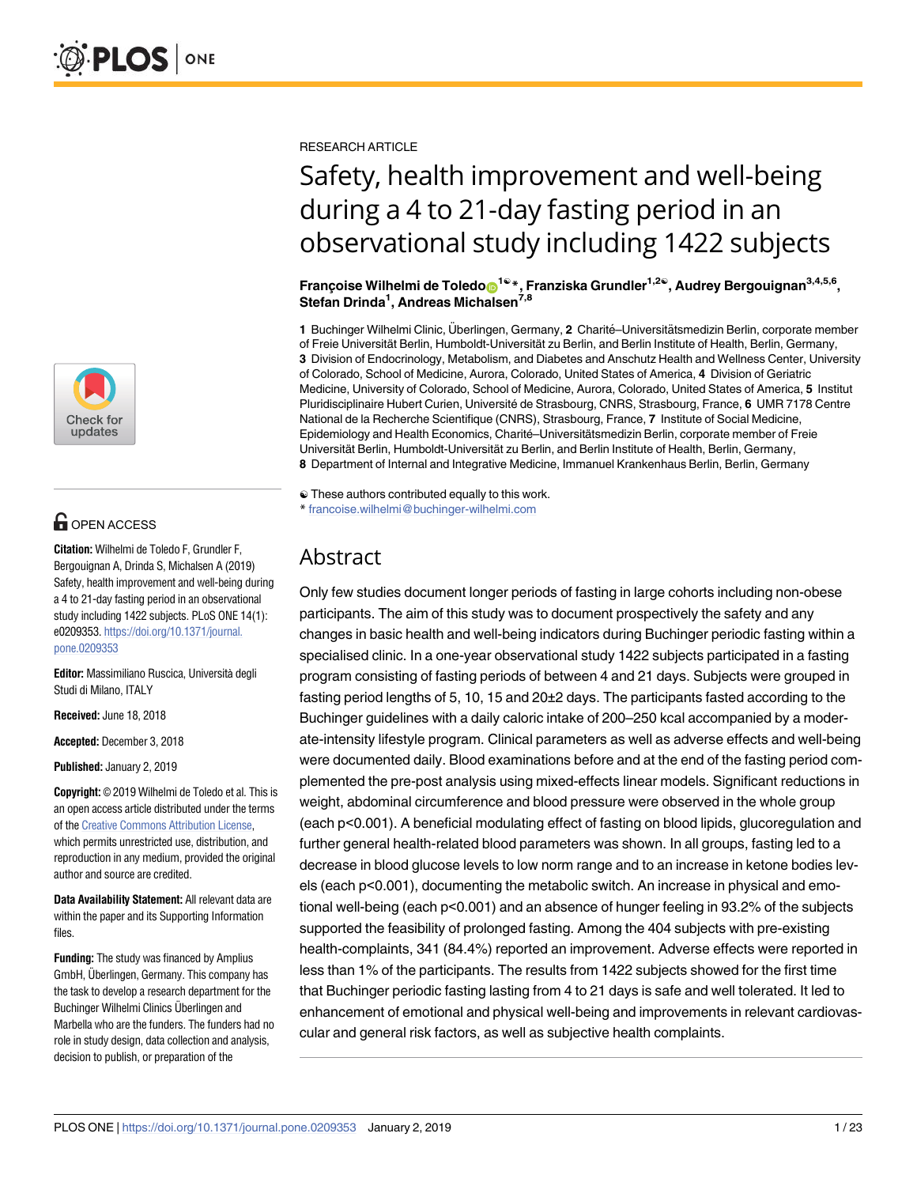

# **G** OPEN ACCESS

**Citation:** Wilhelmi de Toledo F, Grundler F, Bergouignan A, Drinda S, Michalsen A (2019) Safety, health improvement and well-being during a 4 to 21-day fasting period in an observational study including 1422 subjects. PLoS ONE 14(1): e0209353. [https://doi.org/10.1371/journal.](https://doi.org/10.1371/journal.pone.0209353) [pone.0209353](https://doi.org/10.1371/journal.pone.0209353)

**Editor:** Massimiliano Ruscica, Università degli Studi di Milano, ITALY

**Received:** June 18, 2018

**Accepted:** December 3, 2018

**Published:** January 2, 2019

**Copyright:** © 2019 Wilhelmi de Toledo et al. This is an open access article distributed under the terms of the Creative [Commons](http://creativecommons.org/licenses/by/4.0/) Attribution License, which permits unrestricted use, distribution, and reproduction in any medium, provided the original author and source are credited.

**Data Availability Statement:** All relevant data are within the paper and its Supporting Information files.

**Funding:** The study was financed by Amplius GmbH, Überlingen, Germany. This company has the task to develop a research department for the Buchinger Wilhelmi Clinics Überlingen and Marbella who are the funders. The funders had no role in study design, data collection and analysis, decision to publish, or preparation of the

RESEARCH ARTICLE

# Safety, health improvement and well-being during a 4 to 21-day fasting period in an observational study including 1422 subjects

**Franc¸oise Wilhelmi de Toledo[ID1](http://orcid.org/0000-0002-4578-5812)**☯**\*, Franziska Grundler1,2**☯**, Audrey Bergouignan3,4,5,6, Stefan Drinda1 , Andreas Michalsen7,8**

1 Buchinger Wilhelmi Clinic, Überlingen, Germany, 2 Charité–Universitätsmedizin Berlin, corporate member of Freie Universität Berlin, Humboldt-Universität zu Berlin, and Berlin Institute of Health, Berlin, Germany, **3** Division of Endocrinology, Metabolism, and Diabetes and Anschutz Health and Wellness Center, University of Colorado, School of Medicine, Aurora, Colorado, United States of America, **4** Division of Geriatric Medicine, University of Colorado, School of Medicine, Aurora, Colorado, United States of America, **5** Institut Pluridisciplinaire Hubert Curien, Université de Strasbourg, CNRS, Strasbourg, France, 6 UMR 7178 Centre National de la Recherche Scientifique (CNRS), Strasbourg, France, **7** Institute of Social Medicine, Epidemiology and Health Economics, Charité-Universitätsmedizin Berlin, corporate member of Freie Universität Berlin, Humboldt-Universität zu Berlin, and Berlin Institute of Health, Berlin, Germany, **8** Department of Internal and Integrative Medicine, Immanuel Krankenhaus Berlin, Berlin, Germany

☯ These authors contributed equally to this work.

\* francoise.wilhelmi@buchinger-wilhelmi.com

# Abstract

Only few studies document longer periods of fasting in large cohorts including non-obese participants. The aim of this study was to document prospectively the safety and any changes in basic health and well-being indicators during Buchinger periodic fasting within a specialised clinic. In a one-year observational study 1422 subjects participated in a fasting program consisting of fasting periods of between 4 and 21 days. Subjects were grouped in fasting period lengths of 5, 10, 15 and 20±2 days. The participants fasted according to the Buchinger guidelines with a daily caloric intake of 200–250 kcal accompanied by a moderate-intensity lifestyle program. Clinical parameters as well as adverse effects and well-being were documented daily. Blood examinations before and at the end of the fasting period complemented the pre-post analysis using mixed-effects linear models. Significant reductions in weight, abdominal circumference and blood pressure were observed in the whole group (each p<0.001). A beneficial modulating effect of fasting on blood lipids, glucoregulation and further general health-related blood parameters was shown. In all groups, fasting led to a decrease in blood glucose levels to low norm range and to an increase in ketone bodies levels (each p<0.001), documenting the metabolic switch. An increase in physical and emotional well-being (each p<0.001) and an absence of hunger feeling in 93.2% of the subjects supported the feasibility of prolonged fasting. Among the 404 subjects with pre-existing health-complaints, 341 (84.4%) reported an improvement. Adverse effects were reported in less than 1% of the participants. The results from 1422 subjects showed for the first time that Buchinger periodic fasting lasting from 4 to 21 days is safe and well tolerated. It led to enhancement of emotional and physical well-being and improvements in relevant cardiovascular and general risk factors, as well as subjective health complaints.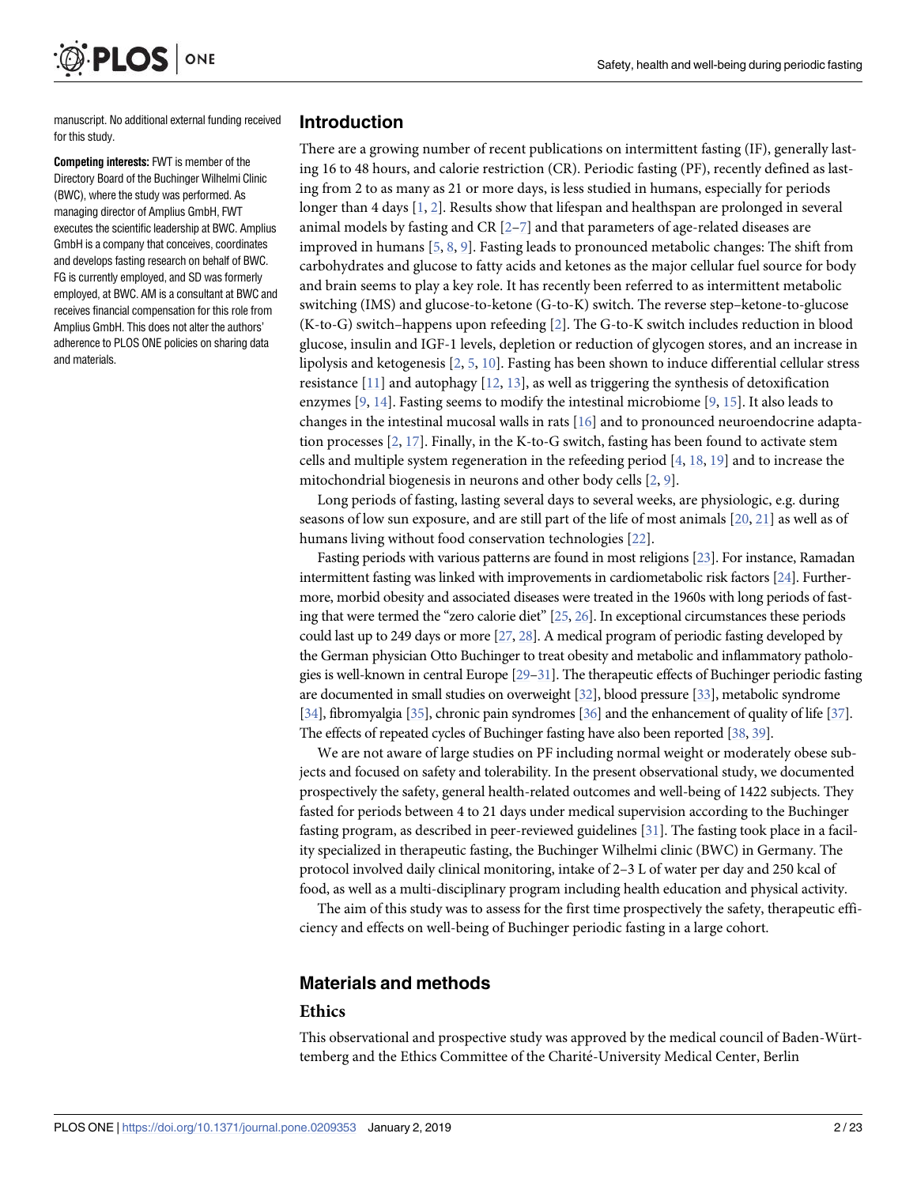manuscript. No additional external funding received for this study.

<span id="page-1-0"></span>**PLOS** 

ONE

**Competing interests:** FWT is member of the Directory Board of the Buchinger Wilhelmi Clinic (BWC), where the study was performed. As managing director of Amplius GmbH, FWT executes the scientific leadership at BWC. Amplius GmbH is a company that conceives, coordinates and develops fasting research on behalf of BWC. FG is currently employed, and SD was formerly employed, at BWC. AM is a consultant at BWC and receives financial compensation for this role from Amplius GmbH. This does not alter the authors' adherence to PLOS ONE policies on sharing data and materials.

#### **Introduction**

There are a growing number of recent publications on intermittent fasting (IF), generally lasting 16 to 48 hours, and calorie restriction (CR). Periodic fasting (PF), recently defined as lasting from 2 to as many as 21 or more days, is less studied in humans, especially for periods longer than 4 days [\[1](#page-19-0), [2](#page-19-0)]. Results show that lifespan and healthspan are prolonged in several animal models by fasting and CR [\[2–7\]](#page-19-0) and that parameters of age-related diseases are improved in humans [\[5,](#page-19-0) [8](#page-19-0), [9](#page-19-0)]. Fasting leads to pronounced metabolic changes: The shift from carbohydrates and glucose to fatty acids and ketones as the major cellular fuel source for body and brain seems to play a key role. It has recently been referred to as intermittent metabolic switching (IMS) and glucose-to-ketone (G-to-K) switch. The reverse step–ketone-to-glucose (K-to-G) switch–happens upon refeeding [\[2](#page-19-0)]. The G-to-K switch includes reduction in blood glucose, insulin and IGF-1 levels, depletion or reduction of glycogen stores, and an increase in lipolysis and ketogenesis [\[2,](#page-19-0) [5](#page-19-0), [10](#page-19-0)]. Fasting has been shown to induce differential cellular stress resistance  $[11]$  $[11]$  $[11]$  and autophagy  $[12, 13]$  $[12, 13]$  $[12, 13]$ , as well as triggering the synthesis of detoxification enzymes [\[9,](#page-19-0) [14\]](#page-19-0). Fasting seems to modify the intestinal microbiome [[9](#page-19-0), [15](#page-19-0)]. It also leads to changes in the intestinal mucosal walls in rats [[16](#page-19-0)] and to pronounced neuroendocrine adaptation processes [[2](#page-19-0), [17](#page-19-0)]. Finally, in the K-to-G switch, fasting has been found to activate stem cells and multiple system regeneration in the refeeding period [[4,](#page-19-0) [18,](#page-19-0) [19\]](#page-19-0) and to increase the mitochondrial biogenesis in neurons and other body cells [\[2,](#page-19-0) [9](#page-19-0)].

Long periods of fasting, lasting several days to several weeks, are physiologic, e.g. during seasons of low sun exposure, and are still part of the life of most animals [[20](#page-19-0), [21](#page-20-0)] as well as of humans living without food conservation technologies [\[22\]](#page-20-0).

Fasting periods with various patterns are found in most religions [\[23\]](#page-20-0). For instance, Ramadan intermittent fasting was linked with improvements in cardiometabolic risk factors [\[24](#page-20-0)]. Furthermore, morbid obesity and associated diseases were treated in the 1960s with long periods of fasting that were termed the "zero calorie diet" [\[25,](#page-20-0) [26](#page-20-0)]. In exceptional circumstances these periods could last up to 249 days or more  $[27, 28]$  $[27, 28]$  $[27, 28]$ . A medical program of periodic fasting developed by the German physician Otto Buchinger to treat obesity and metabolic and inflammatory pathologies is well-known in central Europe  $[29-31]$ . The therapeutic effects of Buchinger periodic fasting are documented in small studies on overweight [[32\]](#page-20-0), blood pressure [\[33\]](#page-20-0), metabolic syndrome [\[34](#page-20-0)], fibromyalgia [\[35](#page-20-0)], chronic pain syndromes [[36\]](#page-20-0) and the enhancement of quality of life [\[37](#page-20-0)]. The effects of repeated cycles of Buchinger fasting have also been reported [[38,](#page-20-0) [39](#page-20-0)].

We are not aware of large studies on PF including normal weight or moderately obese subjects and focused on safety and tolerability. In the present observational study, we documented prospectively the safety, general health-related outcomes and well-being of 1422 subjects. They fasted for periods between 4 to 21 days under medical supervision according to the Buchinger fasting program, as described in peer-reviewed guidelines [\[31](#page-20-0)]. The fasting took place in a facility specialized in therapeutic fasting, the Buchinger Wilhelmi clinic (BWC) in Germany. The protocol involved daily clinical monitoring, intake of 2–3 L of water per day and 250 kcal of food, as well as a multi-disciplinary program including health education and physical activity.

The aim of this study was to assess for the first time prospectively the safety, therapeutic efficiency and effects on well-being of Buchinger periodic fasting in a large cohort.

#### **Materials and methods**

#### **Ethics**

This observational and prospective study was approved by the medical council of Baden-Württemberg and the Ethics Committee of the Charité-University Medical Center, Berlin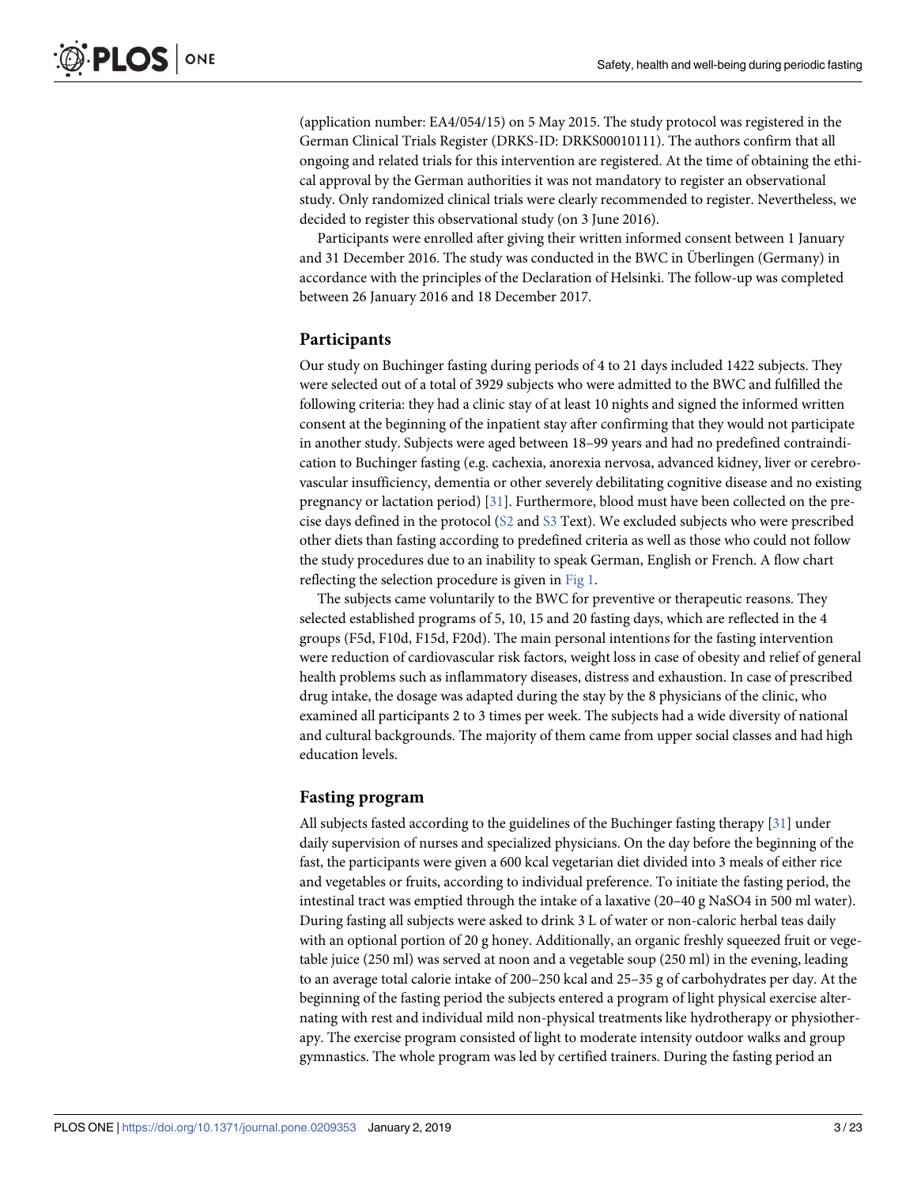<span id="page-2-0"></span>(application number: EA4/054/15) on 5 May 2015. The study protocol was registered in the German Clinical Trials Register (DRKS-ID: DRKS00010111). The authors confirm that all ongoing and related trials for this intervention are registered. At the time of obtaining the ethical approval by the German authorities it was not mandatory to register an observational study. Only randomized clinical trials were clearly recommended to register. Nevertheless, we decided to register this observational study (on 3 June 2016).

Participants were enrolled after giving their written informed consent between 1 January and 31 December 2016. The study was conducted in the BWC in Überlingen (Germany) in accordance with the principles of the Declaration of Helsinki. The follow-up was completed between 26 January 2016 and 18 December 2017.

#### **Participants**

Our study on Buchinger fasting during periods of 4 to 21 days included 1422 subjects. They were selected out of a total of 3929 subjects who were admitted to the BWC and fulfilled the following criteria: they had a clinic stay of at least 10 nights and signed the informed written consent at the beginning of the inpatient stay after confirming that they would not participate in another study. Subjects were aged between 18–99 years and had no predefined contraindication to Buchinger fasting (e.g. cachexia, anorexia nervosa, advanced kidney, liver or cerebrovascular insufficiency, dementia or other severely debilitating cognitive disease and no existing pregnancy or lactation period) [[31](#page-20-0)]. Furthermore, blood must have been collected on the precise days defined in the protocol ([S2](#page-18-0) and [S3](#page-18-0) Text). We excluded subjects who were prescribed other diets than fasting according to predefined criteria as well as those who could not follow the study procedures due to an inability to speak German, English or French. A flow chart reflecting the selection procedure is given in [Fig](#page-3-0) 1.

The subjects came voluntarily to the BWC for preventive or therapeutic reasons. They selected established programs of 5, 10, 15 and 20 fasting days, which are reflected in the 4 groups (F5d, F10d, F15d, F20d). The main personal intentions for the fasting intervention were reduction of cardiovascular risk factors, weight loss in case of obesity and relief of general health problems such as inflammatory diseases, distress and exhaustion. In case of prescribed drug intake, the dosage was adapted during the stay by the 8 physicians of the clinic, who examined all participants 2 to 3 times per week. The subjects had a wide diversity of national and cultural backgrounds. The majority of them came from upper social classes and had high education levels.

#### **Fasting program**

All subjects fasted according to the guidelines of the Buchinger fasting therapy [[31](#page-20-0)] under daily supervision of nurses and specialized physicians. On the day before the beginning of the fast, the participants were given a 600 kcal vegetarian diet divided into 3 meals of either rice and vegetables or fruits, according to individual preference. To initiate the fasting period, the intestinal tract was emptied through the intake of a laxative (20–40 g NaSO4 in 500 ml water). During fasting all subjects were asked to drink 3 L of water or non-caloric herbal teas daily with an optional portion of 20 g honey. Additionally, an organic freshly squeezed fruit or vegetable juice (250 ml) was served at noon and a vegetable soup (250 ml) in the evening, leading to an average total calorie intake of 200–250 kcal and 25–35 g of carbohydrates per day. At the beginning of the fasting period the subjects entered a program of light physical exercise alternating with rest and individual mild non-physical treatments like hydrotherapy or physiotherapy. The exercise program consisted of light to moderate intensity outdoor walks and group gymnastics. The whole program was led by certified trainers. During the fasting period an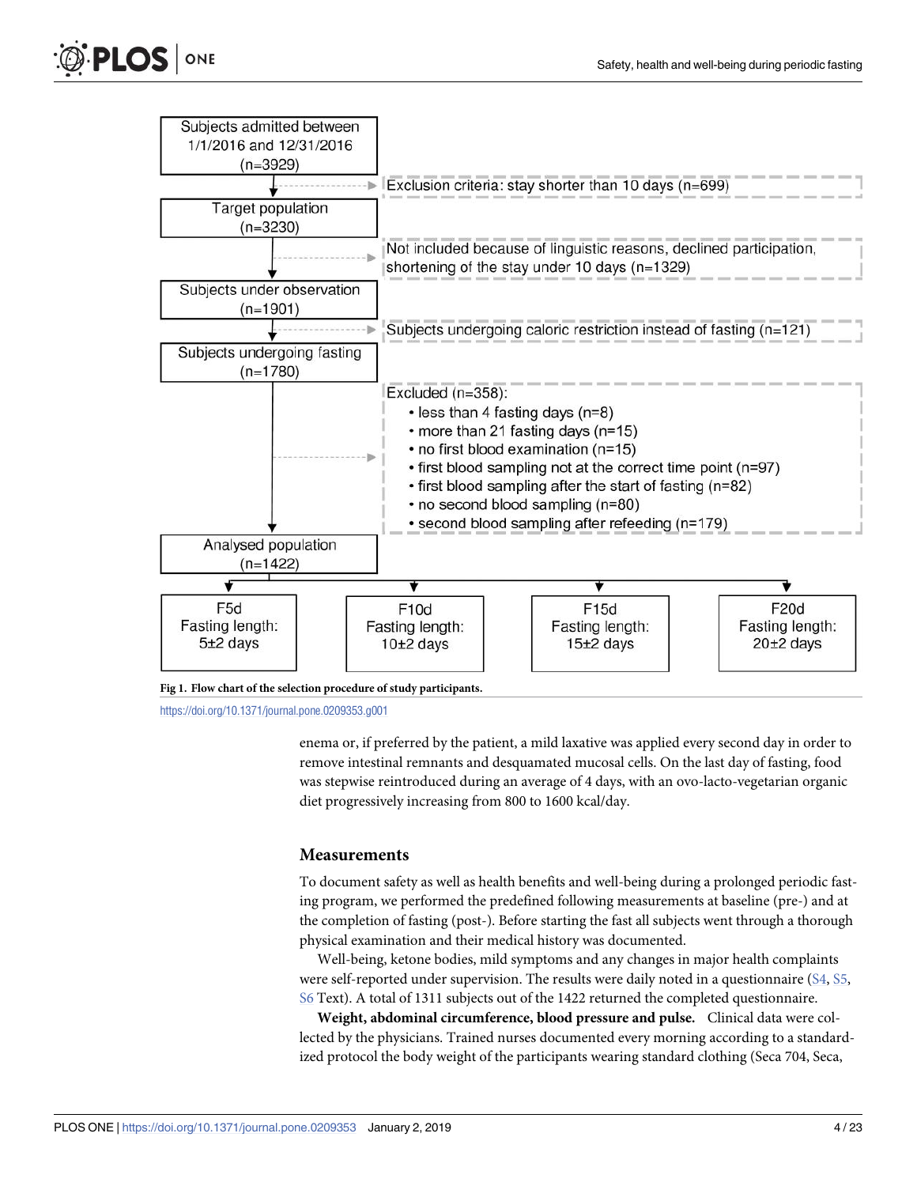<span id="page-3-0"></span>

enema or, if preferred by the patient, a mild laxative was applied every second day in order to remove intestinal remnants and desquamated mucosal cells. On the last day of fasting, food was stepwise reintroduced during an average of 4 days, with an ovo-lacto-vegetarian organic diet progressively increasing from 800 to 1600 kcal/day.

#### **Measurements**

To document safety as well as health benefits and well-being during a prolonged periodic fasting program, we performed the predefined following measurements at baseline (pre-) and at the completion of fasting (post-). Before starting the fast all subjects went through a thorough physical examination and their medical history was documented.

Well-being, ketone bodies, mild symptoms and any changes in major health complaints were self-reported under supervision. The results were daily noted in a questionnaire [\(S4,](#page-18-0) [S5,](#page-18-0) [S6](#page-18-0) Text). A total of 1311 subjects out of the 1422 returned the completed questionnaire.

**Weight, abdominal circumference, blood pressure and pulse.** Clinical data were collected by the physicians. Trained nurses documented every morning according to a standardized protocol the body weight of the participants wearing standard clothing (Seca 704, Seca,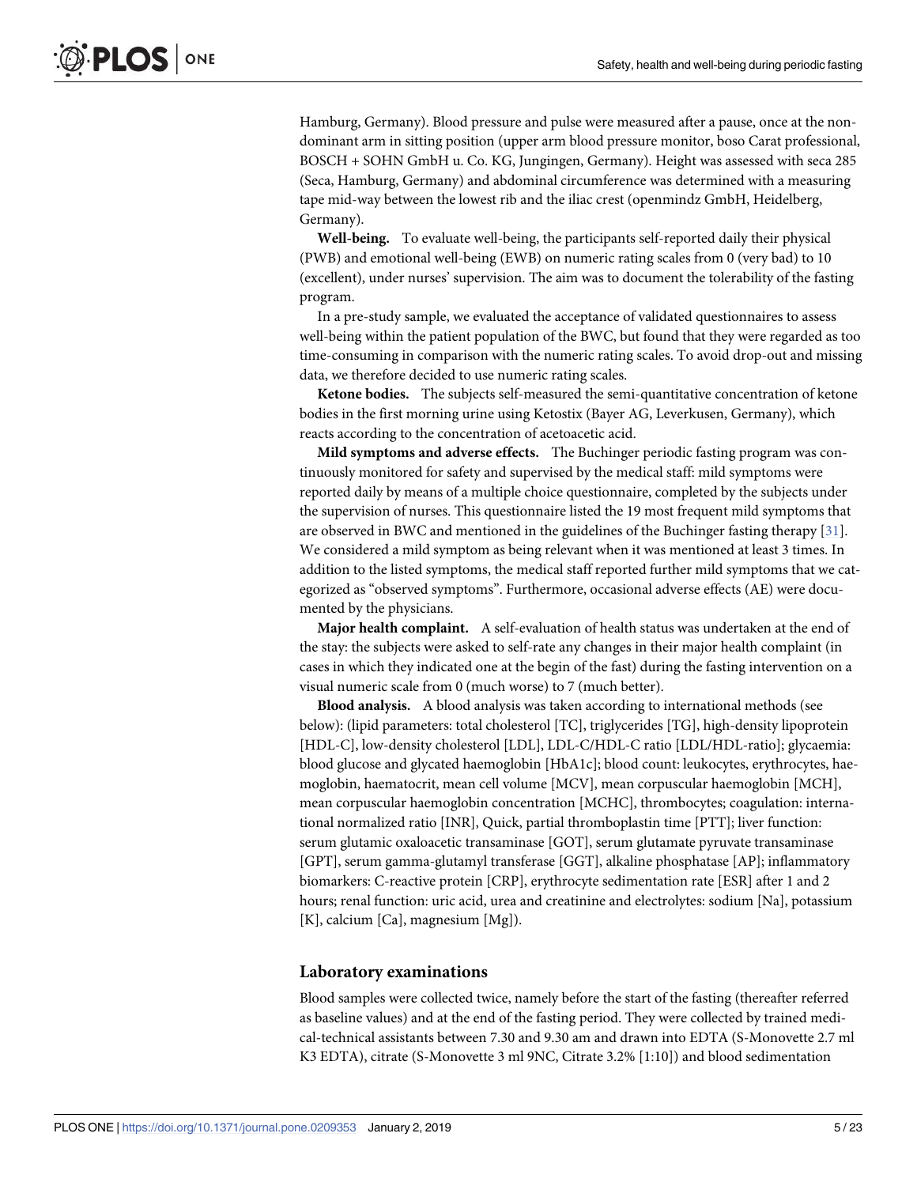Hamburg, Germany). Blood pressure and pulse were measured after a pause, once at the nondominant arm in sitting position (upper arm blood pressure monitor, boso Carat professional, BOSCH + SOHN GmbH u. Co. KG, Jungingen, Germany). Height was assessed with seca 285 (Seca, Hamburg, Germany) and abdominal circumference was determined with a measuring tape mid-way between the lowest rib and the iliac crest (openmindz GmbH, Heidelberg, Germany).

**Well-being.** To evaluate well-being, the participants self-reported daily their physical (PWB) and emotional well-being (EWB) on numeric rating scales from 0 (very bad) to 10 (excellent), under nurses' supervision. The aim was to document the tolerability of the fasting program.

In a pre-study sample, we evaluated the acceptance of validated questionnaires to assess well-being within the patient population of the BWC, but found that they were regarded as too time-consuming in comparison with the numeric rating scales. To avoid drop-out and missing data, we therefore decided to use numeric rating scales.

**Ketone bodies.** The subjects self-measured the semi-quantitative concentration of ketone bodies in the first morning urine using Ketostix (Bayer AG, Leverkusen, Germany), which reacts according to the concentration of acetoacetic acid.

**Mild symptoms and adverse effects.** The Buchinger periodic fasting program was continuously monitored for safety and supervised by the medical staff: mild symptoms were reported daily by means of a multiple choice questionnaire, completed by the subjects under the supervision of nurses. This questionnaire listed the 19 most frequent mild symptoms that are observed in BWC and mentioned in the guidelines of the Buchinger fasting therapy [\[31\]](#page-20-0). We considered a mild symptom as being relevant when it was mentioned at least 3 times. In addition to the listed symptoms, the medical staff reported further mild symptoms that we categorized as "observed symptoms". Furthermore, occasional adverse effects (AE) were documented by the physicians.

**Major health complaint.** A self-evaluation of health status was undertaken at the end of the stay: the subjects were asked to self-rate any changes in their major health complaint (in cases in which they indicated one at the begin of the fast) during the fasting intervention on a visual numeric scale from 0 (much worse) to 7 (much better).

**Blood analysis.** A blood analysis was taken according to international methods (see below): (lipid parameters: total cholesterol [TC], triglycerides [TG], high-density lipoprotein [HDL-C], low-density cholesterol [LDL], LDL-C/HDL-C ratio [LDL/HDL-ratio]; glycaemia: blood glucose and glycated haemoglobin [HbA1c]; blood count: leukocytes, erythrocytes, haemoglobin, haematocrit, mean cell volume [MCV], mean corpuscular haemoglobin [MCH], mean corpuscular haemoglobin concentration [MCHC], thrombocytes; coagulation: international normalized ratio [INR], Quick, partial thromboplastin time [PTT]; liver function: serum glutamic oxaloacetic transaminase [GOT], serum glutamate pyruvate transaminase [GPT], serum gamma-glutamyl transferase [GGT], alkaline phosphatase [AP]; inflammatory biomarkers: C-reactive protein [CRP], erythrocyte sedimentation rate [ESR] after 1 and 2 hours; renal function: uric acid, urea and creatinine and electrolytes: sodium [Na], potassium [K], calcium [Ca], magnesium [Mg]).

#### **Laboratory examinations**

Blood samples were collected twice, namely before the start of the fasting (thereafter referred as baseline values) and at the end of the fasting period. They were collected by trained medical-technical assistants between 7.30 and 9.30 am and drawn into EDTA (S-Monovette 2.7 ml K3 EDTA), citrate (S-Monovette 3 ml 9NC, Citrate 3.2% [1:10]) and blood sedimentation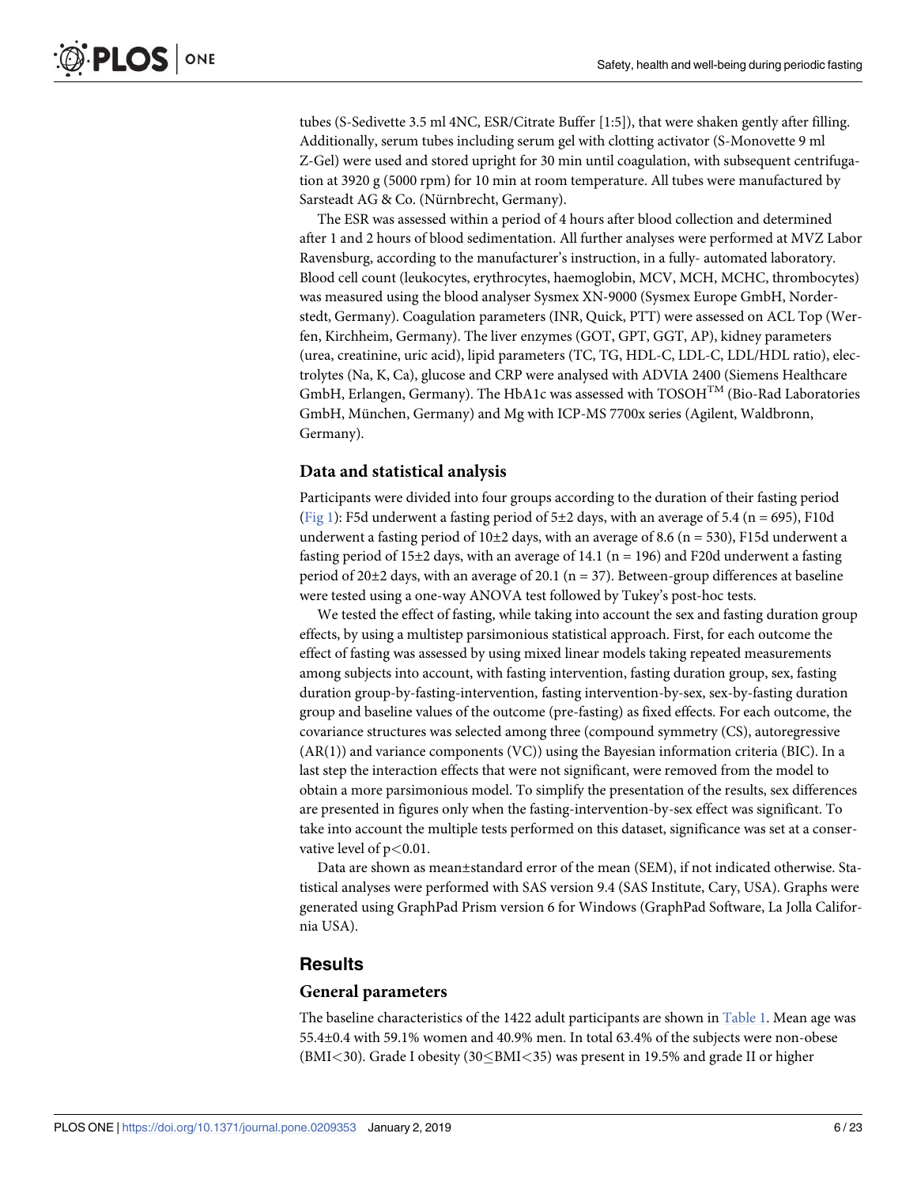<span id="page-5-0"></span>tubes (S-Sedivette 3.5 ml 4NC, ESR/Citrate Buffer [1:5]), that were shaken gently after filling. Additionally, serum tubes including serum gel with clotting activator (S-Monovette 9 ml Z-Gel) were used and stored upright for 30 min until coagulation, with subsequent centrifugation at 3920 g (5000 rpm) for 10 min at room temperature. All tubes were manufactured by Sarsteadt AG & Co. (Nürnbrecht, Germany).

The ESR was assessed within a period of 4 hours after blood collection and determined after 1 and 2 hours of blood sedimentation. All further analyses were performed at MVZ Labor Ravensburg, according to the manufacturer's instruction, in a fully- automated laboratory. Blood cell count (leukocytes, erythrocytes, haemoglobin, MCV, MCH, MCHC, thrombocytes) was measured using the blood analyser Sysmex XN-9000 (Sysmex Europe GmbH, Norderstedt, Germany). Coagulation parameters (INR, Quick, PTT) were assessed on ACL Top (Werfen, Kirchheim, Germany). The liver enzymes (GOT, GPT, GGT, AP), kidney parameters (urea, creatinine, uric acid), lipid parameters (TC, TG, HDL-C, LDL-C, LDL/HDL ratio), electrolytes (Na, K, Ca), glucose and CRP were analysed with ADVIA 2400 (Siemens Healthcare GmbH, Erlangen, Germany). The HbA1c was assessed with  $TOSOH<sup>TM</sup>$  (Bio-Rad Laboratories GmbH, München, Germany) and Mg with ICP-MS 7700x series (Agilent, Waldbronn, Germany).

#### **Data and statistical analysis**

Participants were divided into four groups according to the duration of their fasting period [\(Fig](#page-3-0) 1): F5d underwent a fasting period of  $5\pm 2$  days, with an average of 5.4 (n = 695), F10d underwent a fasting period of  $10\pm 2$  days, with an average of 8.6 (n = 530), F15d underwent a fasting period of 15 $\pm$ 2 days, with an average of 14.1 (n = 196) and F20d underwent a fasting period of  $20\pm2$  days, with an average of 20.1 (n = 37). Between-group differences at baseline were tested using a one-way ANOVA test followed by Tukey's post-hoc tests.

We tested the effect of fasting, while taking into account the sex and fasting duration group effects, by using a multistep parsimonious statistical approach. First, for each outcome the effect of fasting was assessed by using mixed linear models taking repeated measurements among subjects into account, with fasting intervention, fasting duration group, sex, fasting duration group-by-fasting-intervention, fasting intervention-by-sex, sex-by-fasting duration group and baseline values of the outcome (pre-fasting) as fixed effects. For each outcome, the covariance structures was selected among three (compound symmetry (CS), autoregressive (AR(1)) and variance components (VC)) using the Bayesian information criteria (BIC). In a last step the interaction effects that were not significant, were removed from the model to obtain a more parsimonious model. To simplify the presentation of the results, sex differences are presented in figures only when the fasting-intervention-by-sex effect was significant. To take into account the multiple tests performed on this dataset, significance was set at a conservative level of p*<*0.01.

Data are shown as mean±standard error of the mean (SEM), if not indicated otherwise. Statistical analyses were performed with SAS version 9.4 (SAS Institute, Cary, USA). Graphs were generated using GraphPad Prism version 6 for Windows (GraphPad Software, La Jolla California USA).

#### **Results**

#### **General parameters**

The baseline characteristics of the 1422 adult participants are shown in [Table](#page-6-0) 1. Mean age was 55.4±0.4 with 59.1% women and 40.9% men. In total 63.4% of the subjects were non-obese (BMI*<*30). Grade I obesity (30�BMI*<*35) was present in 19.5% and grade II or higher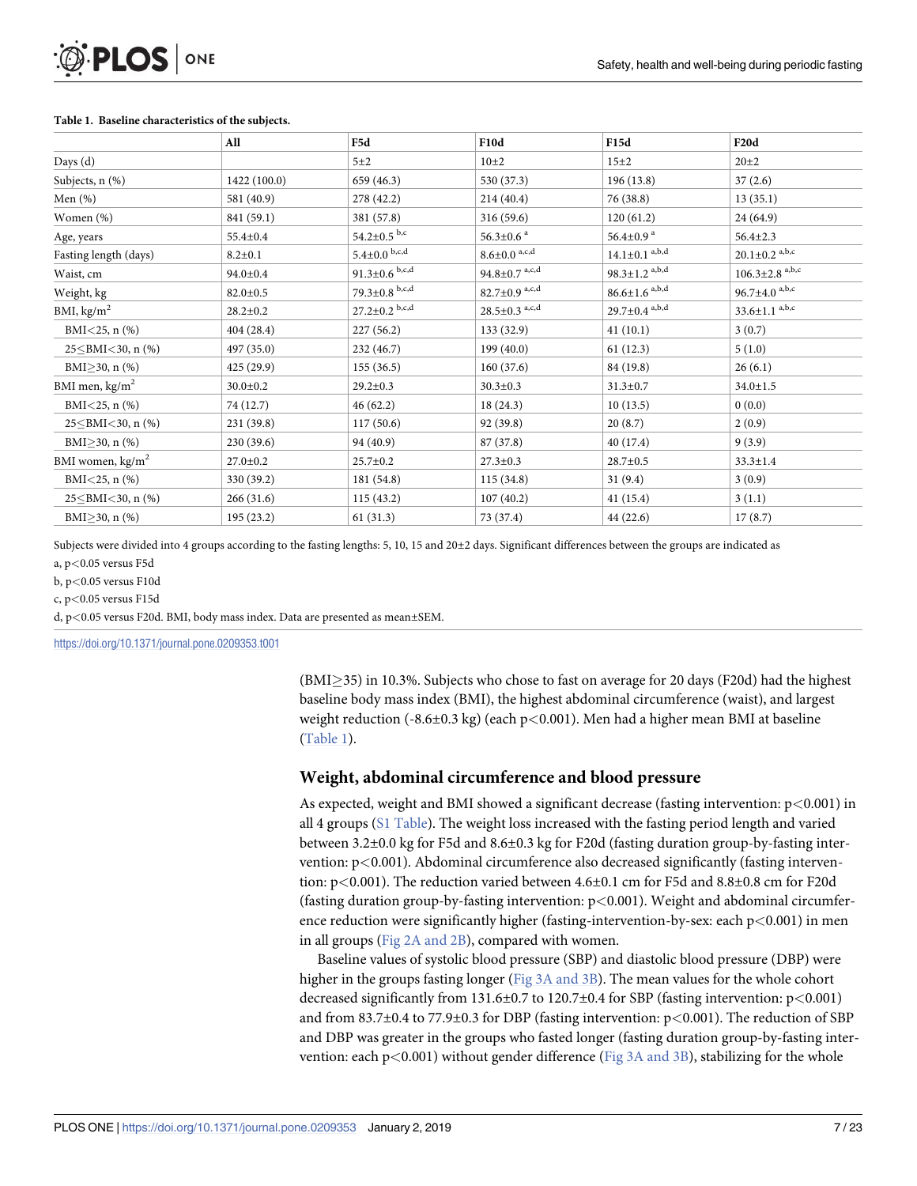|                                | All            | F5d                         | <b>F10d</b>                        | F15d                            | F <sub>20</sub> d                |
|--------------------------------|----------------|-----------------------------|------------------------------------|---------------------------------|----------------------------------|
| Days (d)                       |                | 5±2                         | $10\pm 2$                          | $15\pm2$                        | $20 \pm 2$                       |
| Subjects, n (%)                | 1422 (100.0)   | 659 (46.3)                  | 530 (37.3)                         | 196 (13.8)                      | 37(2.6)                          |
| Men $(\%)$                     | 581 (40.9)     | 278 (42.2)                  | 214 (40.4)                         | 76 (38.8)                       | 13(35.1)                         |
| Women (%)                      | 841 (59.1)     | 381 (57.8)                  | 316 (59.6)                         | 120(61.2)                       | 24 (64.9)                        |
| Age, years                     | $55.4 \pm 0.4$ | 54.2 $\pm$ 0.5 $^{\rm b,c}$ | $56.3 \pm 0.6$ <sup>a</sup>        | 56.4 $\pm$ 0.9 $^{\rm a}$       | $56.4 \pm 2.3$                   |
| Fasting length (days)          | $8.2 \pm 0.1$  | $5.4 \pm 0.0$ b,c,d         | $8.6 \pm 0.0$ <sup>a,c,d</sup>     | $14.1 \pm 0.1^{a,b,d}$          | $20.1 \pm 0.2$ <sup>a,b,c</sup>  |
| Waist, cm                      | $94.0 \pm 0.4$ | $91.3 \pm 0.6$ b,c,d        | $94.8 \pm 0.7$ <sup>a,c,d</sup>    | $98.3 \pm 1.2$ <sup>a,b,d</sup> | $106.3 \pm 2.8$ <sup>a,b,c</sup> |
| Weight, kg                     | $82.0 \pm 0.5$ | $79.3 \pm 0.8$ b,c,d        | $82.7 \pm 0.9$ <sup>a,c,d</sup>    | $86.6 \pm 1.6$ <sup>a,b,d</sup> | 96.7 $\pm$ 4.0 <sup>a,b,c</sup>  |
| BMI, $\text{kg/m}^2$           | $28.2 \pm 0.2$ | $27.2 \pm 0.2$ b,c,d        | $28.5{\pm}0.3$ $^{\mathrm{a,c,d}}$ | $29.7 \pm 0.4$ a,b,d            | $33.6 \pm 1.1^{a,b,c}$           |
| BMI $<$ 25, n $(\%)$           | 404 (28.4)     | 227(56.2)                   | 133 (32.9)                         | 41(10.1)                        | 3(0.7)                           |
| $25 \leq$ BMI<30, n (%)        | 497 (35.0)     | 232 (46.7)                  | 199(40.0)                          | 61(12.3)                        | 5(1.0)                           |
| BMI $\geq$ 30, n (%)           | 425 (29.9)     | 155 (36.5)                  | 160(37.6)                          | 84 (19.8)                       | 26(6.1)                          |
| BMI men, $\text{kg/m}^2$       | $30.0 \pm 0.2$ | $29.2 \pm 0.3$              | $30.3 \pm 0.3$                     | $31.3 \pm 0.7$                  | $34.0 \pm 1.5$                   |
| BMI $<$ 25, n $(\%)$           | 74 (12.7)      | 46(62.2)                    | 18(24.3)                           | 10(13.5)                        | 0(0.0)                           |
| 25 $\leq$ BMI $<$ 30, n (%)    | 231 (39.8)     | 117(50.6)                   | 92 (39.8)                          | 20(8.7)                         | 2(0.9)                           |
| BMI $\geq$ 30, n (%)           | 230 (39.6)     | 94 (40.9)                   | 87 (37.8)                          | 40 (17.4)                       | 9(3.9)                           |
| BMI women, kg/m <sup>2</sup>   | $27.0 \pm 0.2$ | $25.7 \pm 0.2$              | $27.3 \pm 0.3$                     | $28.7 \pm 0.5$                  | $33.3 \pm 1.4$                   |
| BMI $<$ 25, n $(\%)$           | 330 (39.2)     | 181 (54.8)                  | 115(34.8)                          | 31(9.4)                         | 3(0.9)                           |
| 25 $\leq$ BMI $\leq$ 30, n (%) | 266(31.6)      | 115(43.2)                   | 107(40.2)                          | 41(15.4)                        | 3(1.1)                           |
| BMI $>$ 30, n $(\%)$           | 195 (23.2)     | 61(31.3)                    | 73 (37.4)                          | 44 (22.6)                       | 17(8.7)                          |

#### <span id="page-6-0"></span>**[Table](#page-5-0) 1. Baseline characteristics of the subjects.**

Subjects were divided into 4 groups according to the fasting lengths: 5, 10, 15 and 20±2 days. Significant differences between the groups are indicated as a, p*<*0.05 versus F5d

b, p*<*0.05 versus F10d

c, p*<*0.05 versus F15d

d, p*<*0.05 versus F20d. BMI, body mass index. Data are presented as mean±SEM.

<https://doi.org/10.1371/journal.pone.0209353.t001>

(BMI $\geq$ 35) in 10.3%. Subjects who chose to fast on average for 20 days (F20d) had the highest baseline body mass index (BMI), the highest abdominal circumference (waist), and largest weight reduction (-8.6±0.3 kg) (each p*<*0.001). Men had a higher mean BMI at baseline (Table 1).

#### **Weight, abdominal circumference and blood pressure**

As expected, weight and BMI showed a significant decrease (fasting intervention: p*<*0.001) in all 4 groups (S1 [Table](#page-17-0)). The weight loss increased with the fasting period length and varied between 3.2±0.0 kg for F5d and 8.6±0.3 kg for F20d (fasting duration group-by-fasting intervention: p*<*0.001). Abdominal circumference also decreased significantly (fasting intervention: p*<*0.001). The reduction varied between 4.6±0.1 cm for F5d and 8.8±0.8 cm for F20d (fasting duration group-by-fasting intervention: p*<*0.001). Weight and abdominal circumference reduction were significantly higher (fasting-intervention-by-sex: each p*<*0.001) in men in all groups (Fig 2A [and](#page-7-0) 2B), compared with women.

Baseline values of systolic blood pressure (SBP) and diastolic blood pressure (DBP) were higher in the groups fasting longer (Fig 3A [and](#page-8-0) 3B). The mean values for the whole cohort decreased significantly from 131.6±0.7 to 120.7±0.4 for SBP (fasting intervention: p*<*0.001) and from 83.7±0.4 to 77.9±0.3 for DBP (fasting intervention: p*<*0.001). The reduction of SBP and DBP was greater in the groups who fasted longer (fasting duration group-by-fasting intervention: each p*<*0.001) without gender difference (Fig 3A [and](#page-8-0) 3B), stabilizing for the whole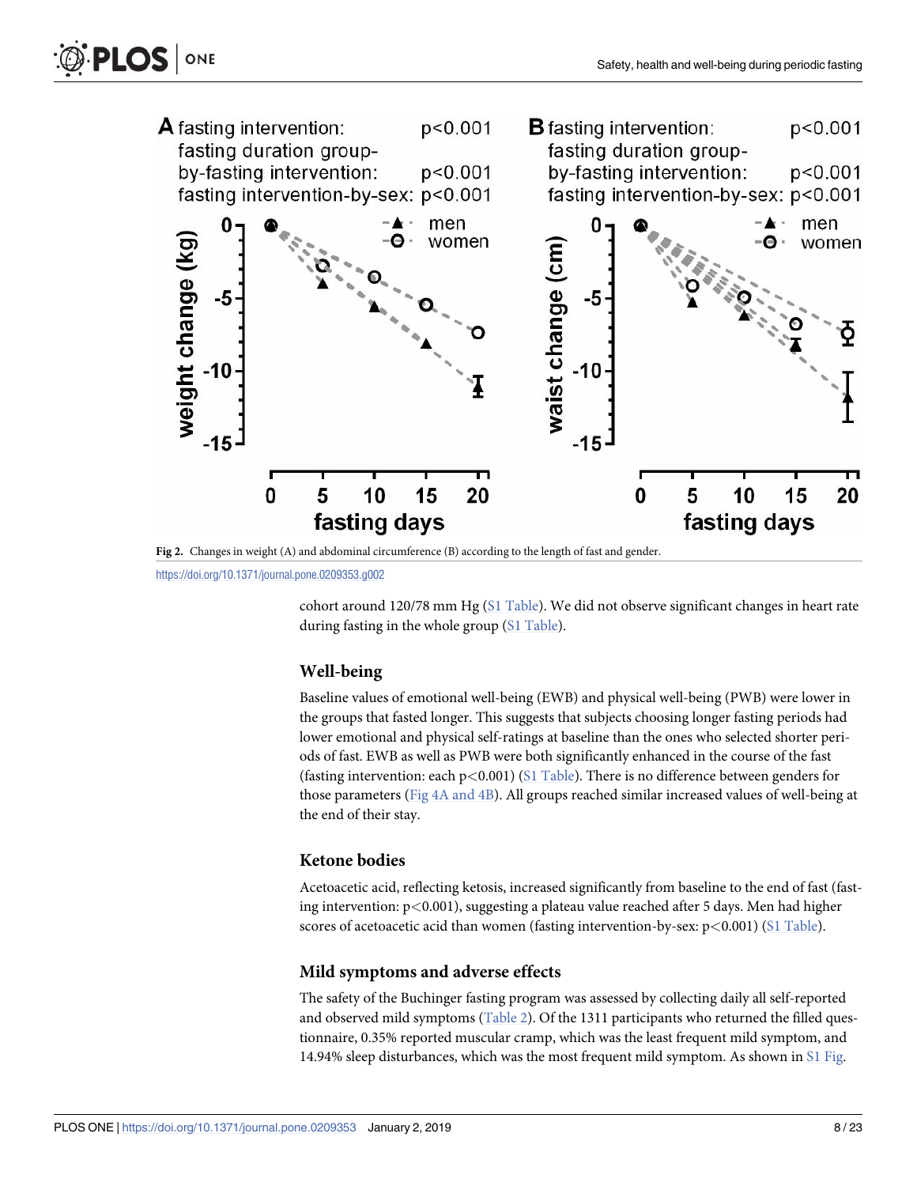<span id="page-7-0"></span>



**[Fig](#page-6-0) 2.** Changes in weight (A) and abdominal circumference (B) according to the length of fast and gender.

cohort around 120/78 mm Hg (S1 [Table\)](#page-17-0). We did not observe significant changes in heart rate during fasting in the whole group (S1 [Table\)](#page-17-0).

#### **Well-being**

Baseline values of emotional well-being (EWB) and physical well-being (PWB) were lower in the groups that fasted longer. This suggests that subjects choosing longer fasting periods had lower emotional and physical self-ratings at baseline than the ones who selected shorter periods of fast. EWB as well as PWB were both significantly enhanced in the course of the fast (fasting intervention: each p*<*0.001) (S1 [Table\)](#page-17-0). There is no difference between genders for those parameters (Fig 4A [and](#page-9-0) 4B). All groups reached similar increased values of well-being at the end of their stay.

#### **Ketone bodies**

Acetoacetic acid, reflecting ketosis, increased significantly from baseline to the end of fast (fasting intervention: p*<*0.001), suggesting a plateau value reached after 5 days. Men had higher scores of acetoacetic acid than women (fasting intervention-by-sex: p*<*0.001) (S1 [Table](#page-17-0)).

#### **Mild symptoms and adverse effects**

The safety of the Buchinger fasting program was assessed by collecting daily all self-reported and observed mild symptoms [\(Table](#page-10-0) 2). Of the 1311 participants who returned the filled questionnaire, 0.35% reported muscular cramp, which was the least frequent mild symptom, and 14.94% sleep disturbances, which was the most frequent mild symptom. As shown in S1 [Fig](#page-18-0).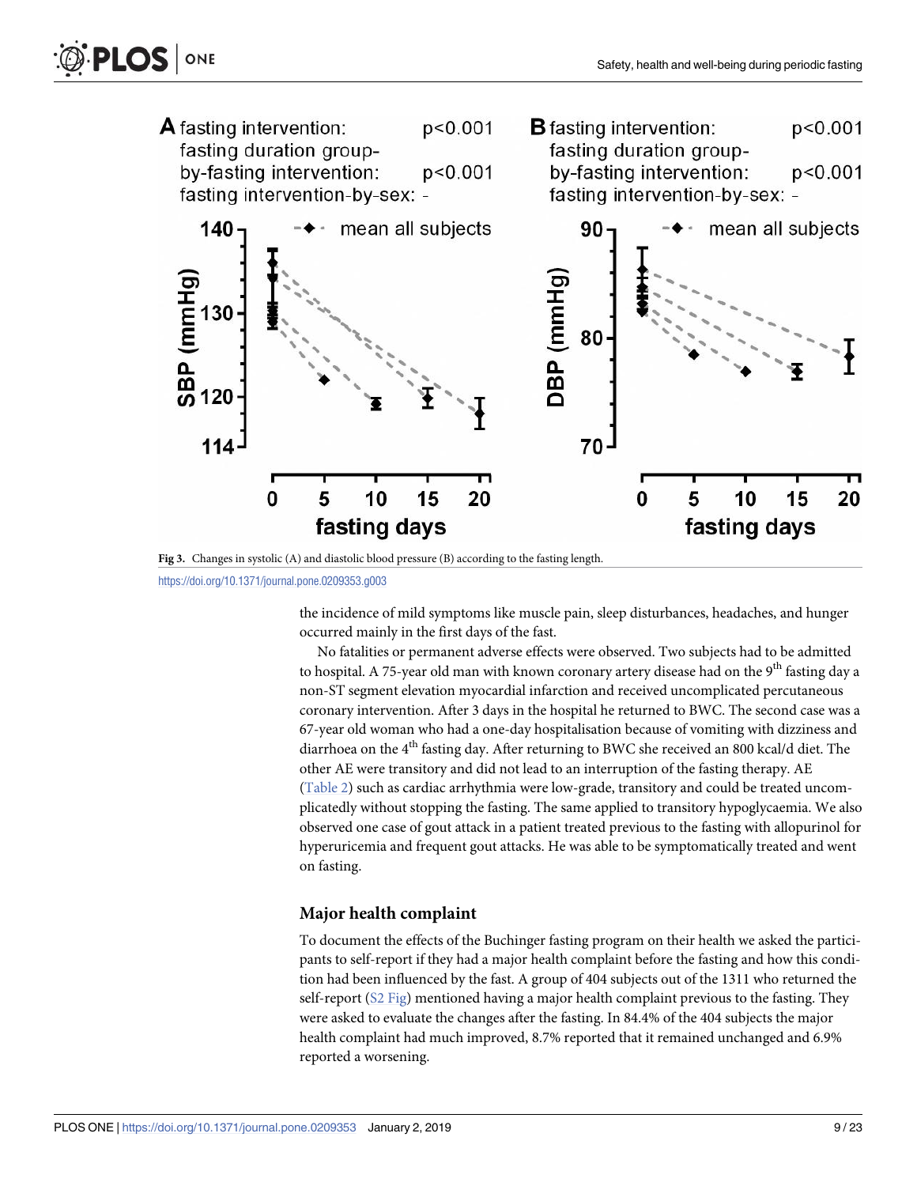<span id="page-8-0"></span>

**[Fig](#page-6-0) 3.** Changes in systolic (A) and diastolic blood pressure (B) according to the fasting length.

the incidence of mild symptoms like muscle pain, sleep disturbances, headaches, and hunger occurred mainly in the first days of the fast.

No fatalities or permanent adverse effects were observed. Two subjects had to be admitted to hospital. A 75-year old man with known coronary artery disease had on the 9<sup>th</sup> fasting day a non-ST segment elevation myocardial infarction and received uncomplicated percutaneous coronary intervention. After 3 days in the hospital he returned to BWC. The second case was a 67-year old woman who had a one-day hospitalisation because of vomiting with dizziness and diarrhoea on the 4<sup>th</sup> fasting day. After returning to BWC she received an 800 kcal/d diet. The other AE were transitory and did not lead to an interruption of the fasting therapy. AE [\(Table](#page-10-0) 2) such as cardiac arrhythmia were low-grade, transitory and could be treated uncomplicatedly without stopping the fasting. The same applied to transitory hypoglycaemia. We also observed one case of gout attack in a patient treated previous to the fasting with allopurinol for hyperuricemia and frequent gout attacks. He was able to be symptomatically treated and went on fasting.

#### **Major health complaint**

To document the effects of the Buchinger fasting program on their health we asked the participants to self-report if they had a major health complaint before the fasting and how this condition had been influenced by the fast. A group of 404 subjects out of the 1311 who returned the self-report  $(S2$  [Fig\)](#page-18-0) mentioned having a major health complaint previous to the fasting. They were asked to evaluate the changes after the fasting. In 84.4% of the 404 subjects the major health complaint had much improved, 8.7% reported that it remained unchanged and 6.9% reported a worsening.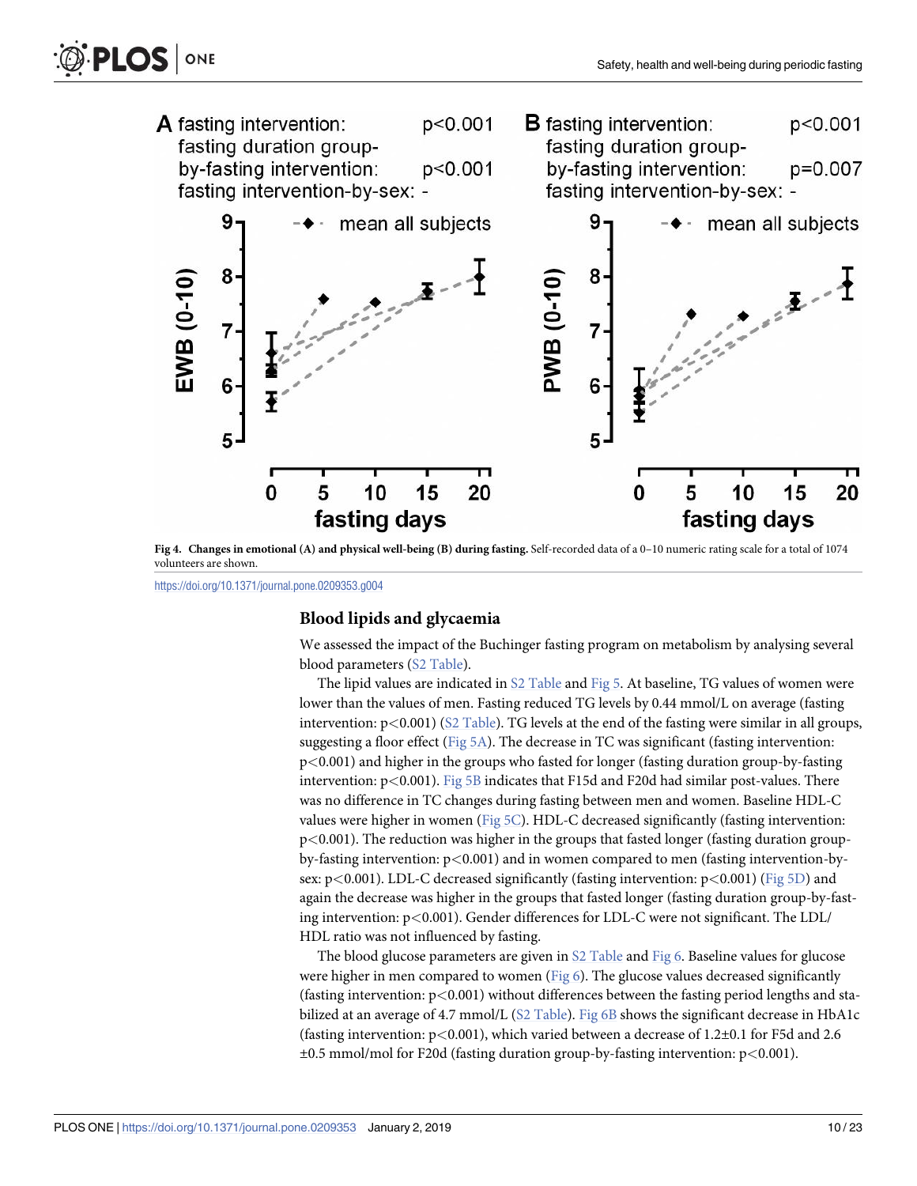<span id="page-9-0"></span>

[Fig](#page-7-0) 4. Changes in emotional (A) and physical well-being (B) during fasting. Self-recorded data of a 0-10 numeric rating scale for a total of 1074 volunteers are shown.

#### **Blood lipids and glycaemia**

We assessed the impact of the Buchinger fasting program on metabolism by analysing several blood parameters (S2 [Table](#page-17-0)).

The lipid values are indicated in S2 [Table](#page-17-0) and [Fig](#page-11-0) 5. At baseline, TG values of women were lower than the values of men. Fasting reduced TG levels by 0.44 mmol/L on average (fasting intervention: p*<*0.001) (S2 [Table](#page-17-0)). TG levels at the end of the fasting were similar in all groups, suggesting a floor effect [\(Fig](#page-11-0)  $5A$ ). The decrease in TC was significant (fasting intervention: p*<*0.001) and higher in the groups who fasted for longer (fasting duration group-by-fasting intervention: p*<*0.001). [Fig](#page-11-0) 5B indicates that F15d and F20d had similar post-values. There was no difference in TC changes during fasting between men and women. Baseline HDL-C values were higher in women ([Fig](#page-11-0) 5C). HDL-C decreased significantly (fasting intervention: p*<*0.001). The reduction was higher in the groups that fasted longer (fasting duration groupby-fasting intervention: p*<*0.001) and in women compared to men (fasting intervention-bysex: p*<*0.001). LDL-C decreased significantly (fasting intervention: p*<*0.001) [\(Fig](#page-11-0) 5D) and again the decrease was higher in the groups that fasted longer (fasting duration group-by-fasting intervention: p*<*0.001). Gender differences for LDL-C were not significant. The LDL/ HDL ratio was not influenced by fasting.

The blood glucose parameters are given in S2 [Table](#page-17-0) and [Fig](#page-12-0) 6. Baseline values for glucose were higher in men compared to women ([Fig](#page-12-0)  $6$ ). The glucose values decreased significantly (fasting intervention: p*<*0.001) without differences between the fasting period lengths and stabilized at an average of 4.7 mmol/L (S2 [Table\)](#page-17-0). [Fig](#page-12-0) 6B shows the significant decrease in HbA1c (fasting intervention: p*<*0.001), which varied between a decrease of 1.2±0.1 for F5d and 2.6 ±0.5 mmol/mol for F20d (fasting duration group-by-fasting intervention: p*<*0.001).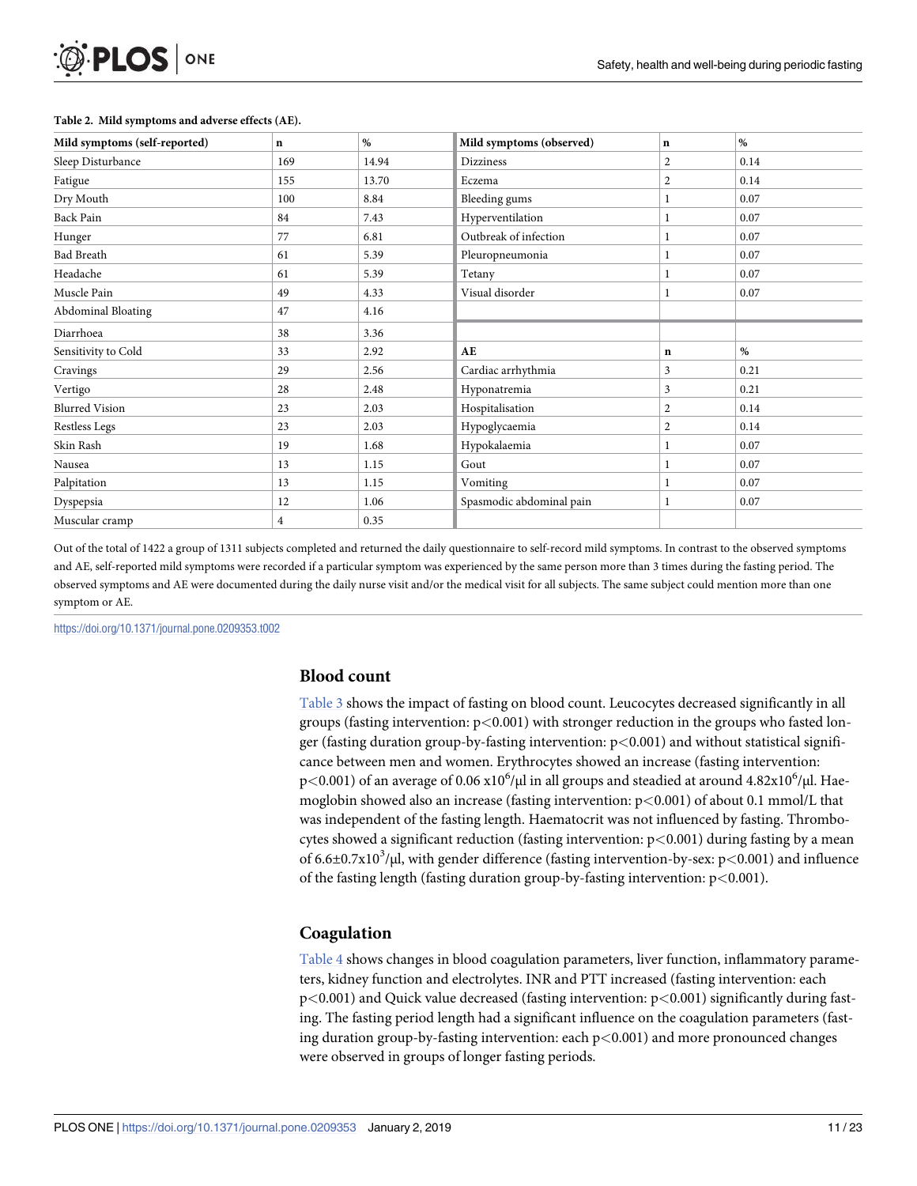<span id="page-10-0"></span>

| O PLOS ONE |  |
|------------|--|
|------------|--|

| Mild symptoms (self-reported) | $\mathbf n$ | $\%$  | Mild symptoms (observed) | n              | %    |  |
|-------------------------------|-------------|-------|--------------------------|----------------|------|--|
| Sleep Disturbance             | 169         | 14.94 | <b>Dizziness</b>         | $\overline{2}$ | 0.14 |  |
| Fatigue                       | 155         | 13.70 | Eczema                   | $\overline{2}$ | 0.14 |  |
| Dry Mouth                     | 100         | 8.84  | Bleeding gums            |                | 0.07 |  |
| Back Pain                     | 84          | 7.43  | Hyperventilation         |                | 0.07 |  |
| Hunger                        | 77          | 6.81  | Outbreak of infection    |                | 0.07 |  |
| <b>Bad Breath</b>             | 61          | 5.39  | Pleuropneumonia          |                | 0.07 |  |
| Headache                      | 61          | 5.39  | Tetany                   |                | 0.07 |  |
| Muscle Pain                   | 49          | 4.33  | Visual disorder          |                | 0.07 |  |
| <b>Abdominal Bloating</b>     | 47          | 4.16  |                          |                |      |  |
| Diarrhoea                     | 38          | 3.36  |                          |                |      |  |
| Sensitivity to Cold           | 33          | 2.92  | AE                       | $\mathbf n$    | $\%$ |  |
| Cravings                      | 29          | 2.56  | Cardiac arrhythmia       | 3              | 0.21 |  |
| Vertigo                       | 28          | 2.48  | Hyponatremia             | 3              | 0.21 |  |
| <b>Blurred Vision</b>         | 23          | 2.03  | Hospitalisation          | $\overline{2}$ | 0.14 |  |
| <b>Restless Legs</b>          | 23          | 2.03  | Hypoglycaemia            | $\overline{2}$ | 0.14 |  |
| Skin Rash                     | 19          | 1.68  | Hypokalaemia             |                | 0.07 |  |
| Nausea                        | 13          | 1.15  | Gout                     |                | 0.07 |  |
| Palpitation                   | 13          | 1.15  | Vomiting                 |                | 0.07 |  |
| Dyspepsia                     | 12          | 1.06  | Spasmodic abdominal pain |                | 0.07 |  |
| Muscular cramp                | 4           | 0.35  |                          |                |      |  |

#### **[Table](#page-7-0) 2. Mild symptoms and adverse effects (AE).**

Out of the total of 1422 a group of 1311 subjects completed and returned the daily questionnaire to self-record mild symptoms. In contrast to the observed symptoms and AE, self-reported mild symptoms were recorded if a particular symptom was experienced by the same person more than 3 times during the fasting period. The observed symptoms and AE were documented during the daily nurse visit and/or the medical visit for all subjects. The same subject could mention more than one symptom or AE.

<https://doi.org/10.1371/journal.pone.0209353.t002>

#### **Blood count**

[Table](#page-12-0) 3 shows the impact of fasting on blood count. Leucocytes decreased significantly in all groups (fasting intervention: p*<*0.001) with stronger reduction in the groups who fasted longer (fasting duration group-by-fasting intervention: p*<*0.001) and without statistical significance between men and women. Erythrocytes showed an increase (fasting intervention: p<0.001) of an average of 0.06 x10<sup>6</sup>/μl in all groups and steadied at around 4.82x10<sup>6</sup>/μl. Haemoglobin showed also an increase (fasting intervention: p*<*0.001) of about 0.1 mmol/L that was independent of the fasting length. Haematocrit was not influenced by fasting. Thrombocytes showed a significant reduction (fasting intervention: p*<*0.001) during fasting by a mean of 6.6±0.7x103 /μl, with gender difference (fasting intervention-by-sex: p*<*0.001) and influence of the fasting length (fasting duration group-by-fasting intervention: p*<*0.001).

#### **Coagulation**

[Table](#page-13-0) 4 shows changes in blood coagulation parameters, liver function, inflammatory parameters, kidney function and electrolytes. INR and PTT increased (fasting intervention: each p*<*0.001) and Quick value decreased (fasting intervention: p*<*0.001) significantly during fasting. The fasting period length had a significant influence on the coagulation parameters (fasting duration group-by-fasting intervention: each p*<*0.001) and more pronounced changes were observed in groups of longer fasting periods.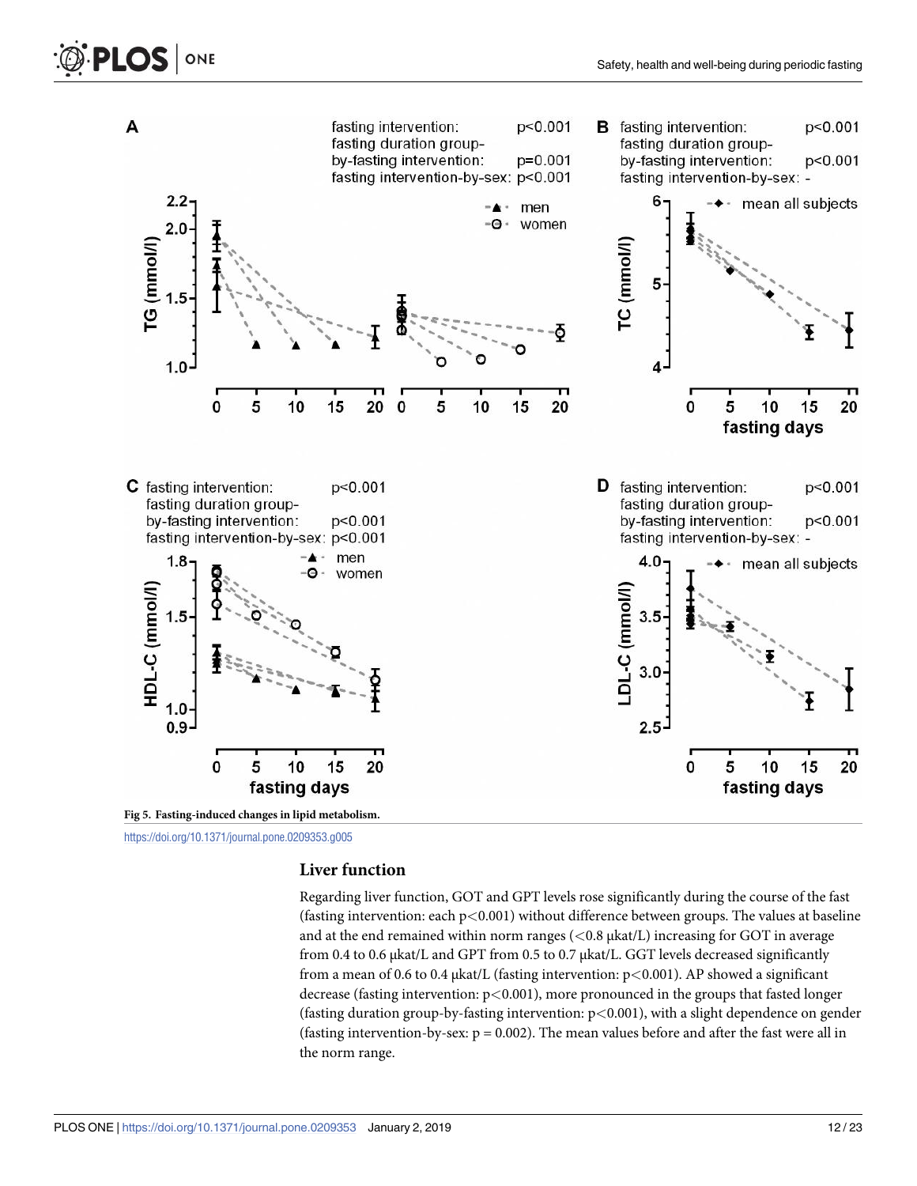<span id="page-11-0"></span>

#### **Liver function**

Regarding liver function, GOT and GPT levels rose significantly during the course of the fast (fasting intervention: each p*<*0.001) without difference between groups. The values at baseline and at the end remained within norm ranges (*<*0.8 μkat/L) increasing for GOT in average from 0.4 to 0.6 μkat/L and GPT from 0.5 to 0.7 μkat/L. GGT levels decreased significantly from a mean of 0.6 to 0.4 μkat/L (fasting intervention: p*<*0.001). AP showed a significant decrease (fasting intervention: p*<*0.001), more pronounced in the groups that fasted longer (fasting duration group-by-fasting intervention: p*<*0.001), with a slight dependence on gender (fasting intervention-by-sex:  $p = 0.002$ ). The mean values before and after the fast were all in the norm range.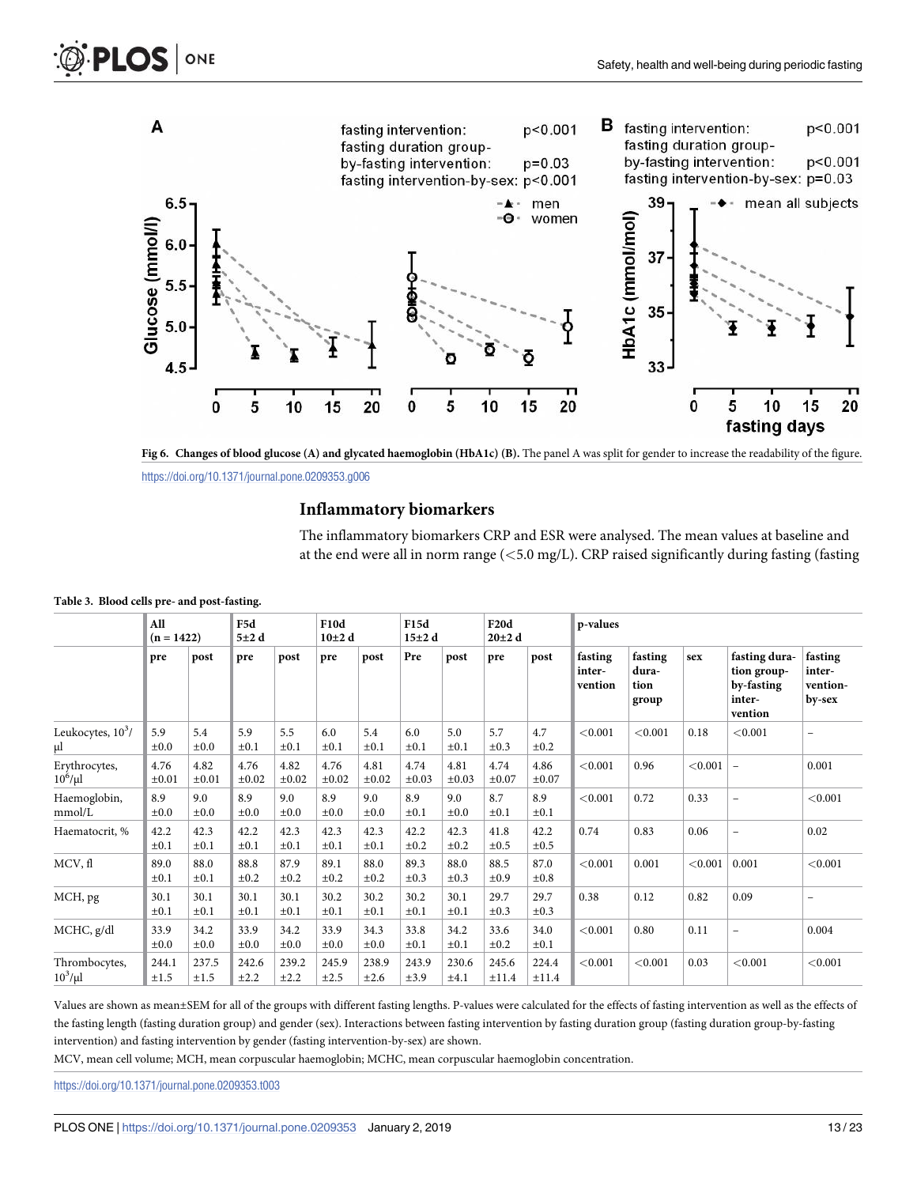<span id="page-12-0"></span>

[Fig](#page-9-0) 6. Changes of blood glucose (A) and glycated haemoglobin (HbA1c) (B). The panel A was split for gender to increase the readability of the figure.

## **Inflammatory biomarkers**

The inflammatory biomarkers CRP and ESR were analysed. The mean values at baseline and at the end were all in norm range (*<*5.0 mg/L). CRP raised significantly during fasting (fasting

|                             | All<br>$(n = 1422)$ |                    | F5d<br>$5\pm2$ d   |                    | <b>F10d</b><br>$10\pm2$ d |                    | F15d<br>$15\pm2$ d |                    | <b>F20d</b><br>$20\pm2$ d |                    | p-values                     |                                   |         |                                                                 |                                         |
|-----------------------------|---------------------|--------------------|--------------------|--------------------|---------------------------|--------------------|--------------------|--------------------|---------------------------|--------------------|------------------------------|-----------------------------------|---------|-----------------------------------------------------------------|-----------------------------------------|
|                             | pre                 | post               | pre                | post               | pre                       | post               | Pre                | post               | pre                       | post               | fasting<br>inter-<br>vention | fasting<br>dura-<br>tion<br>group | sex     | fasting dura-<br>tion group-<br>by-fasting<br>inter-<br>vention | fasting<br>inter-<br>vention-<br>by-sex |
| Leukocytes, $10^3/$<br>μl   | 5.9<br>$\pm 0.0$    | 5.4<br>$\pm 0.0$   | 5.9<br>$\pm 0.1$   | 5.5<br>$\pm 0.1$   | 6.0<br>$\pm 0.1$          | 5.4<br>$\pm 0.1$   | 6.0<br>$\pm 0.1$   | 5.0<br>$\pm 0.1$   | 5.7<br>$\pm 0.3$          | 4.7<br>$\pm 0.2$   | < 0.001                      | < 0.001                           | 0.18    | < 0.001                                                         | $\overline{\phantom{a}}$                |
| Erythrocytes,<br>$10^6/\mu$ | 4.76<br>$\pm 0.01$  | 4.82<br>$\pm 0.01$ | 4.76<br>$\pm 0.02$ | 4.82<br>$\pm 0.02$ | 4.76<br>$\pm 0.02$        | 4.81<br>$\pm 0.02$ | 4.74<br>$\pm 0.03$ | 4.81<br>$\pm 0.03$ | 4.74<br>$\pm 0.07$        | 4.86<br>$\pm 0.07$ | < 0.001                      | 0.96                              | < 0.001 | $\overline{\phantom{0}}$                                        | 0.001                                   |
| Haemoglobin,<br>mmol/L      | 8.9<br>$\pm 0.0$    | 9.0<br>$\pm 0.0$   | 8.9<br>$\pm 0.0$   | 9.0<br>$\pm 0.0$   | 8.9<br>$\pm 0.0$          | 9.0<br>$\pm 0.0$   | 8.9<br>$\pm 0.1$   | 9.0<br>$\pm 0.0$   | 8.7<br>$\pm 0.1$          | 8.9<br>$\pm 0.1$   | < 0.001                      | 0.72                              | 0.33    | $\overline{a}$                                                  | < 0.001                                 |
| Haematocrit, %              | 42.2<br>$\pm 0.1$   | 42.3<br>$\pm 0.1$  | 42.2<br>±0.1       | 42.3<br>$\pm 0.1$  | 42.3<br>$\pm 0.1$         | 42.3<br>$\pm 0.1$  | 42.2<br>$\pm 0.2$  | 42.3<br>$\pm 0.2$  | 41.8<br>$\pm 0.5$         | 42.2<br>$\pm 0.5$  | 0.74                         | 0.83                              | 0.06    | $\overline{a}$                                                  | 0.02                                    |
| MCV, fl                     | 89.0<br>$\pm 0.1$   | 88.0<br>$\pm 0.1$  | 88.8<br>$\pm 0.2$  | 87.9<br>$\pm 0.2$  | 89.1<br>$\pm 0.2$         | 88.0<br>$\pm 0.2$  | 89.3<br>$\pm 0.3$  | 88.0<br>$\pm 0.3$  | 88.5<br>±0.9              | 87.0<br>$\pm 0.8$  | < 0.001                      | 0.001                             | < 0.001 | 0.001                                                           | < 0.001                                 |
| MCH, pg                     | 30.1<br>$\pm 0.1$   | 30.1<br>$\pm 0.1$  | 30.1<br>$\pm 0.1$  | 30.1<br>$\pm 0.1$  | 30.2<br>$\pm 0.1$         | 30.2<br>$\pm 0.1$  | 30.2<br>$\pm 0.1$  | 30.1<br>$\pm 0.1$  | 29.7<br>$\pm 0.3$         | 29.7<br>$\pm 0.3$  | 0.38                         | 0.12                              | 0.82    | 0.09                                                            | $\overline{\phantom{m}}$                |
| MCHC, g/dl                  | 33.9<br>$\pm 0.0$   | 34.2<br>$\pm 0.0$  | 33.9<br>$\pm 0.0$  | 34.2<br>$\pm 0.0$  | 33.9<br>$\pm 0.0$         | 34.3<br>$\pm 0.0$  | 33.8<br>$\pm 0.1$  | 34.2<br>$\pm 0.1$  | 33.6<br>$\pm 0.2$         | 34.0<br>$\pm 0.1$  | < 0.001                      | 0.80                              | 0.11    | $\qquad \qquad -$                                               | 0.004                                   |
| Thrombocytes,<br>$10^3/\mu$ | 244.1<br>$\pm 1.5$  | 237.5<br>$\pm 1.5$ | 242.6<br>±2.2      | 239.2<br>±2.2      | 245.9<br>±2.5             | 238.9<br>±2.6      | 243.9<br>±3.9      | 230.6<br>±4.1      | 245.6<br>±11.4            | 224.4<br>±11.4     | < 0.001                      | < 0.001                           | 0.03    | < 0.001                                                         | < 0.001                                 |

#### **[Table](#page-10-0) 3. Blood cells pre- and post-fasting.**

Values are shown as mean±SEM for all of the groups with different fasting lengths. P-values were calculated for the effects of fasting intervention as well as the effects of the fasting length (fasting duration group) and gender (sex). Interactions between fasting intervention by fasting duration group (fasting duration group-by-fasting intervention) and fasting intervention by gender (fasting intervention-by-sex) are shown.

MCV, mean cell volume; MCH, mean corpuscular haemoglobin; MCHC, mean corpuscular haemoglobin concentration.

<https://doi.org/10.1371/journal.pone.0209353.t003>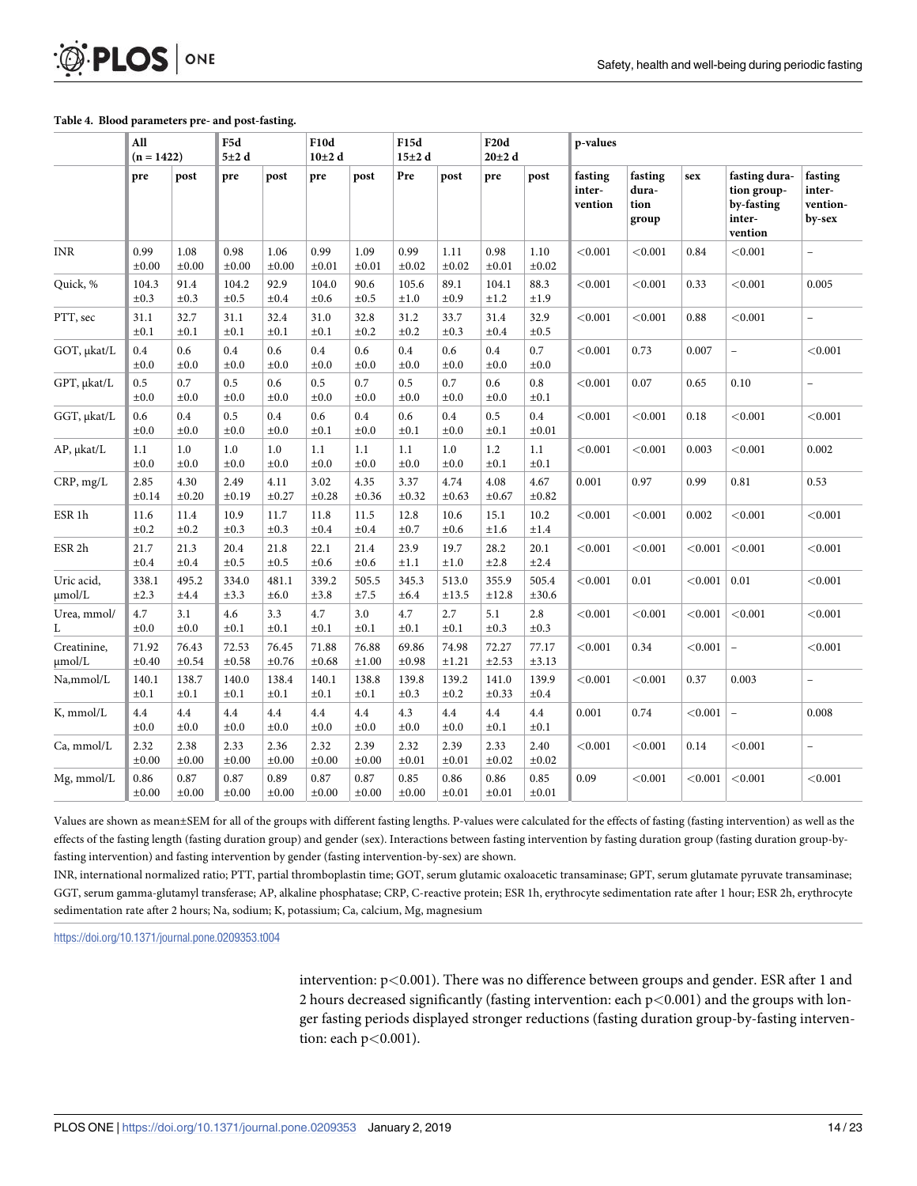#### **[Table](#page-10-0) 4. Blood parameters pre- and post-fasting.**

<span id="page-13-0"></span>**PLOS** I

ONE

|                            | All<br>$(n = 1422)$ |                     |                      |                     | F5d<br>5±2d         |                    | F10d<br>$10\pm2$ d  |                    | F15d<br>$15\pm2$ d  |                      | <b>F20d</b><br>$20\pm2$ d    |                                   | p-values |                                                                 |                                         |  |  |
|----------------------------|---------------------|---------------------|----------------------|---------------------|---------------------|--------------------|---------------------|--------------------|---------------------|----------------------|------------------------------|-----------------------------------|----------|-----------------------------------------------------------------|-----------------------------------------|--|--|
|                            | pre                 | post                | pre                  | post                | pre                 | post               | Pre                 | post               | pre                 | post                 | fasting<br>inter-<br>vention | fasting<br>dura-<br>tion<br>group | sex      | fasting dura-<br>tion group-<br>by-fasting<br>inter-<br>vention | fasting<br>inter-<br>vention-<br>by-sex |  |  |
| <b>INR</b>                 | 0.99<br>$\pm 0.00$  | 1.08<br>$\pm 0.00$  | 0.98<br>$\pm 0.00$   | 1.06<br>$\pm 0.00$  | 0.99<br>$\pm 0.01$  | 1.09<br>$\pm 0.01$ | 0.99<br>$\pm 0.02$  | 1.11<br>$\pm 0.02$ | 0.98<br>$\pm 0.01$  | 1.10<br>$\pm 0.02$   | < 0.001                      | < 0.001                           | 0.84     | < 0.001                                                         | $\overline{a}$                          |  |  |
| Quick, %                   | 104.3<br>$\pm 0.3$  | 91.4<br>$\pm 0.3$   | 104.2<br>$\pm 0.5$   | 92.9<br>$\pm 0.4$   | 104.0<br>$\pm 0.6$  | 90.6<br>$\pm 0.5$  | 105.6<br>±1.0       | 89.1<br>$\pm 0.9$  | 104.1<br>±1.2       | 88.3<br>±1.9         | < 0.001                      | < 0.001                           | 0.33     | < 0.001                                                         | 0.005                                   |  |  |
| PTT, sec                   | 31.1<br>$\pm 0.1$   | 32.7<br>$\pm 0.1$   | 31.1<br>$\pm 0.1$    | 32.4<br>$\pm 0.1$   | 31.0<br>$\pm 0.1$   | 32.8<br>$\pm 0.2$  | 31.2<br>$\pm 0.2$   | 33.7<br>$\pm 0.3$  | 31.4<br>$\pm 0.4$   | 32.9<br>$\pm 0.5$    | < 0.001                      | < 0.001                           | 0.88     | < 0.001                                                         |                                         |  |  |
| GOT, µkat/L                | 0.4<br>$\pm 0.0$    | 0.6<br>$\pm 0.0$    | 0.4<br>$\pm 0.0$     | 0.6<br>$\pm 0.0$    | 0.4<br>$\pm 0.0$    | 0.6<br>$\pm 0.0$   | 0.4<br>±0.0         | 0.6<br>$\pm 0.0$   | 0.4<br>$\pm 0.0$    | 0.7<br>$\pm 0.0$     | < 0.001                      | 0.73                              | 0.007    | $\overline{a}$                                                  | < 0.001                                 |  |  |
| GPT, µkat/L                | 0.5<br>$\pm 0.0$    | 0.7<br>$\pm 0.0$    | $0.5\,$<br>$\pm 0.0$ | 0.6<br>$\pm 0.0$    | 0.5<br>±0.0         | 0.7<br>$\pm 0.0$   | 0.5<br>±0.0         | 0.7<br>±0.0        | 0.6<br>$\pm 0.0$    | $0.8\,$<br>$\pm 0.1$ | < 0.001                      | 0.07                              | 0.65     | 0.10                                                            | $\overline{\phantom{0}}$                |  |  |
| GGT, µkat/L                | 0.6<br>$\pm 0.0$    | 0.4<br>$\pm 0.0$    | 0.5<br>$\pm 0.0$     | 0.4<br>$\pm 0.0$    | 0.6<br>$\pm 0.1$    | 0.4<br>$\pm 0.0$   | 0.6<br>$\pm 0.1$    | 0.4<br>$\pm 0.0$   | 0.5<br>$\pm 0.1$    | 0.4<br>$\pm 0.01$    | < 0.001                      | < 0.001                           | 0.18     | < 0.001                                                         | < 0.001                                 |  |  |
| AP, µkat/L                 | 1.1<br>$\pm 0.0$    | 1.0<br>$\pm 0.0$    | 1.0<br>$\pm 0.0$     | 1.0<br>$\pm 0.0$    | 1.1<br>$\pm 0.0$    | 1.1<br>$\pm 0.0$   | 1.1<br>$\pm 0.0$    | 1.0<br>$\pm 0.0$   | 1.2<br>$\pm 0.1$    | 1.1<br>$\pm 0.1$     | < 0.001                      | < 0.001                           | 0.003    | < 0.001                                                         | 0.002                                   |  |  |
| CRP, mg/L                  | 2.85<br>$\pm 0.14$  | 4.30<br>$\pm 0.20$  | 2.49<br>$\pm 0.19$   | 4.11<br>$\pm 0.27$  | 3.02<br>$\pm 0.28$  | 4.35<br>$\pm 0.36$ | 3.37<br>$\pm 0.32$  | 4.74<br>$\pm 0.63$ | 4.08<br>$\pm 0.67$  | 4.67<br>$\pm 0.82$   | 0.001                        | 0.97                              | 0.99     | 0.81                                                            | 0.53                                    |  |  |
| ESR <sub>1</sub> h         | 11.6<br>$\pm 0.2$   | 11.4<br>$\pm 0.2$   | 10.9<br>$\pm 0.3$    | 11.7<br>$\pm 0.3$   | 11.8<br>$\pm 0.4$   | 11.5<br>$\pm 0.4$  | 12.8<br>$\pm 0.7$   | 10.6<br>$\pm 0.6$  | 15.1<br>±1.6        | 10.2<br>±1.4         | < 0.001                      | < 0.001                           | 0.002    | < 0.001                                                         | < 0.001                                 |  |  |
| ESR <sub>2h</sub>          | 21.7<br>$\pm 0.4$   | 21.3<br>$\pm 0.4$   | 20.4<br>$\pm 0.5$    | 21.8<br>$\pm 0.5$   | 22.1<br>$\pm 0.6$   | 21.4<br>$\pm 0.6$  | 23.9<br>$\pm 1.1$   | 19.7<br>±1.0       | 28.2<br>±2.8        | 20.1<br>±2.4         | < 0.001                      | < 0.001                           | < 0.001  | < 0.001                                                         | < 0.001                                 |  |  |
| Uric acid,<br>umol/L       | 338.1<br>$\pm 2.3$  | 495.2<br>$\pm 4.4$  | 334.0<br>±3.3        | 481.1<br>±6.0       | 339.2<br>±3.8       | 505.5<br>$\pm 7.5$ | 345.3<br>±6.4       | 513.0<br>±13.5     | 355.9<br>±12.8      | 505.4<br>$\pm 30.6$  | < 0.001                      | 0.01                              | < 0.001  | 0.01                                                            | < 0.001                                 |  |  |
| Urea, mmol/<br>L           | 4.7<br>±0.0         | 3.1<br>$\pm 0.0$    | 4.6<br>$\pm 0.1$     | 3.3<br>$\pm 0.1$    | 4.7<br>$\pm 0.1$    | 3.0<br>±0.1        | 4.7<br>±0.1         | 2.7<br>$\pm 0.1$   | 5.1<br>$\pm 0.3$    | 2.8<br>$\pm 0.3$     | < 0.001                      | < 0.001                           | < 0.001  | < 0.001                                                         | < 0.001                                 |  |  |
| Creatinine,<br>$\mu$ mol/L | 71.92<br>$\pm 0.40$ | 76.43<br>$\pm 0.54$ | 72.53<br>$\pm 0.58$  | 76.45<br>$\pm 0.76$ | 71.88<br>$\pm 0.68$ | 76.88<br>±1.00     | 69.86<br>$\pm 0.98$ | 74.98<br>±1.21     | 72.27<br>$\pm 2.53$ | 77.17<br>$\pm 3.13$  | < 0.001                      | 0.34                              | < 0.001  | $\bar{ }$                                                       | < 0.001                                 |  |  |
| Na,mmol/L                  | 140.1<br>$\pm 0.1$  | 138.7<br>$\pm 0.1$  | 140.0<br>$\pm 0.1$   | 138.4<br>$\pm 0.1$  | 140.1<br>$\pm 0.1$  | 138.8<br>$\pm 0.1$ | 139.8<br>$\pm 0.3$  | 139.2<br>$\pm 0.2$ | 141.0<br>$\pm 0.33$ | 139.9<br>$\pm 0.4$   | < 0.001                      | < 0.001                           | 0.37     | 0.003                                                           | $\overline{a}$                          |  |  |
| K, mmol/L                  | 4.4<br>$\pm 0.0$    | 4.4<br>$\pm 0.0$    | 4.4<br>$\pm 0.0$     | 4.4<br>$\pm 0.0$    | 4.4<br>$\pm 0.0$    | 4.4<br>$\pm 0.0$   | 4.3<br>$\pm 0.0$    | 4.4<br>$\pm 0.0$   | 4.4<br>$\pm 0.1$    | 4.4<br>$\pm 0.1$     | 0.001                        | 0.74                              | < 0.001  | $\overline{\phantom{0}}$                                        | 0.008                                   |  |  |
| Ca, mmol/L                 | 2.32<br>$\pm 0.00$  | 2.38<br>$\pm 0.00$  | 2.33<br>$\pm 0.00$   | 2.36<br>$\pm 0.00$  | 2.32<br>$\pm 0.00$  | 2.39<br>$\pm 0.00$ | 2.32<br>$\pm 0.01$  | 2.39<br>$\pm 0.01$ | 2.33<br>$\pm 0.02$  | 2.40<br>$\pm 0.02$   | < 0.001                      | < 0.001                           | 0.14     | < 0.001                                                         |                                         |  |  |
| $Mg$ , mmol/L              | 0.86<br>$\pm 0.00$  | 0.87<br>$\pm 0.00$  | 0.87<br>$\pm 0.00$   | 0.89<br>$\pm 0.00$  | 0.87<br>$\pm 0.00$  | 0.87<br>$\pm 0.00$ | 0.85<br>$\pm 0.00$  | 0.86<br>$\pm 0.01$ | 0.86<br>$\pm 0.01$  | 0.85<br>$\pm 0.01$   | 0.09                         | < 0.001                           | < 0.001  | < 0.001                                                         | < 0.001                                 |  |  |

Values are shown as mean±SEM for all of the groups with different fasting lengths. P-values were calculated for the effects of fasting (fasting intervention) as well as the effects of the fasting length (fasting duration group) and gender (sex). Interactions between fasting intervention by fasting duration group (fasting duration group-byfasting intervention) and fasting intervention by gender (fasting intervention-by-sex) are shown.

INR, international normalized ratio; PTT, partial thromboplastin time; GOT, serum glutamic oxaloacetic transaminase; GPT, serum glutamate pyruvate transaminase; GGT, serum gamma-glutamyl transferase; AP, alkaline phosphatase; CRP, C-reactive protein; ESR 1h, erythrocyte sedimentation rate after 1 hour; ESR 2h, erythrocyte sedimentation rate after 2 hours; Na, sodium; K, potassium; Ca, calcium, Mg, magnesium

<https://doi.org/10.1371/journal.pone.0209353.t004>

intervention: p*<*0.001). There was no difference between groups and gender. ESR after 1 and 2 hours decreased significantly (fasting intervention: each p*<*0.001) and the groups with longer fasting periods displayed stronger reductions (fasting duration group-by-fasting intervention: each p*<*0.001).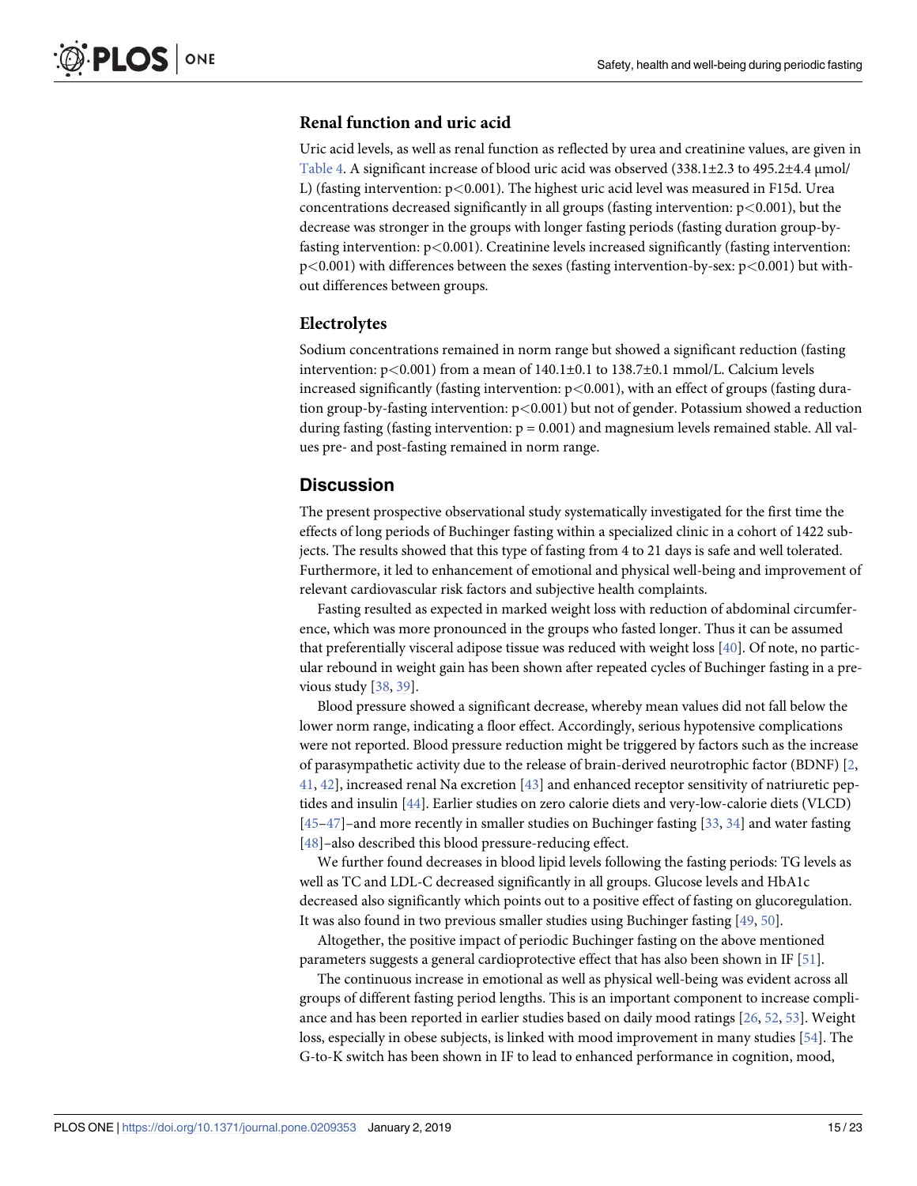#### <span id="page-14-0"></span>**Renal function and uric acid**

Uric acid levels, as well as renal function as reflected by urea and creatinine values, are given in [Table](#page-13-0) 4. A significant increase of blood uric acid was observed (338.1±2.3 to 495.2±4.4 μmol/ L) (fasting intervention: p*<*0.001). The highest uric acid level was measured in F15d. Urea concentrations decreased significantly in all groups (fasting intervention: p*<*0.001), but the decrease was stronger in the groups with longer fasting periods (fasting duration group-byfasting intervention: p*<*0.001). Creatinine levels increased significantly (fasting intervention: p*<*0.001) with differences between the sexes (fasting intervention-by-sex: p*<*0.001) but without differences between groups.

#### **Electrolytes**

Sodium concentrations remained in norm range but showed a significant reduction (fasting intervention: p*<*0.001) from a mean of 140.1±0.1 to 138.7±0.1 mmol/L. Calcium levels increased significantly (fasting intervention: p*<*0.001), with an effect of groups (fasting duration group-by-fasting intervention: p*<*0.001) but not of gender. Potassium showed a reduction during fasting (fasting intervention:  $p = 0.001$ ) and magnesium levels remained stable. All values pre- and post-fasting remained in norm range.

## **Discussion**

The present prospective observational study systematically investigated for the first time the effects of long periods of Buchinger fasting within a specialized clinic in a cohort of 1422 subjects. The results showed that this type of fasting from 4 to 21 days is safe and well tolerated. Furthermore, it led to enhancement of emotional and physical well-being and improvement of relevant cardiovascular risk factors and subjective health complaints.

Fasting resulted as expected in marked weight loss with reduction of abdominal circumference, which was more pronounced in the groups who fasted longer. Thus it can be assumed that preferentially visceral adipose tissue was reduced with weight loss [[40](#page-20-0)]. Of note, no particular rebound in weight gain has been shown after repeated cycles of Buchinger fasting in a previous study [[38](#page-20-0), [39](#page-20-0)].

Blood pressure showed a significant decrease, whereby mean values did not fall below the lower norm range, indicating a floor effect. Accordingly, serious hypotensive complications were not reported. Blood pressure reduction might be triggered by factors such as the increase of parasympathetic activity due to the release of brain-derived neurotrophic factor (BDNF) [\[2,](#page-19-0) [41,](#page-20-0) [42](#page-20-0)], increased renal Na excretion [[43](#page-21-0)] and enhanced receptor sensitivity of natriuretic peptides and insulin [[44](#page-21-0)]. Earlier studies on zero calorie diets and very-low-calorie diets (VLCD) [\[45–47\]](#page-21-0)–and more recently in smaller studies on Buchinger fasting [[33](#page-20-0), [34](#page-20-0)] and water fasting [\[48\]](#page-21-0)–also described this blood pressure-reducing effect.

We further found decreases in blood lipid levels following the fasting periods: TG levels as well as TC and LDL-C decreased significantly in all groups. Glucose levels and HbA1c decreased also significantly which points out to a positive effect of fasting on glucoregulation. It was also found in two previous smaller studies using Buchinger fasting [\[49,](#page-21-0) [50\]](#page-21-0).

Altogether, the positive impact of periodic Buchinger fasting on the above mentioned parameters suggests a general cardioprotective effect that has also been shown in IF [[51](#page-21-0)].

The continuous increase in emotional as well as physical well-being was evident across all groups of different fasting period lengths. This is an important component to increase compliance and has been reported in earlier studies based on daily mood ratings [[26](#page-20-0), [52](#page-21-0), [53](#page-21-0)]. Weight loss, especially in obese subjects, is linked with mood improvement in many studies [[54](#page-21-0)]. The G-to-K switch has been shown in IF to lead to enhanced performance in cognition, mood,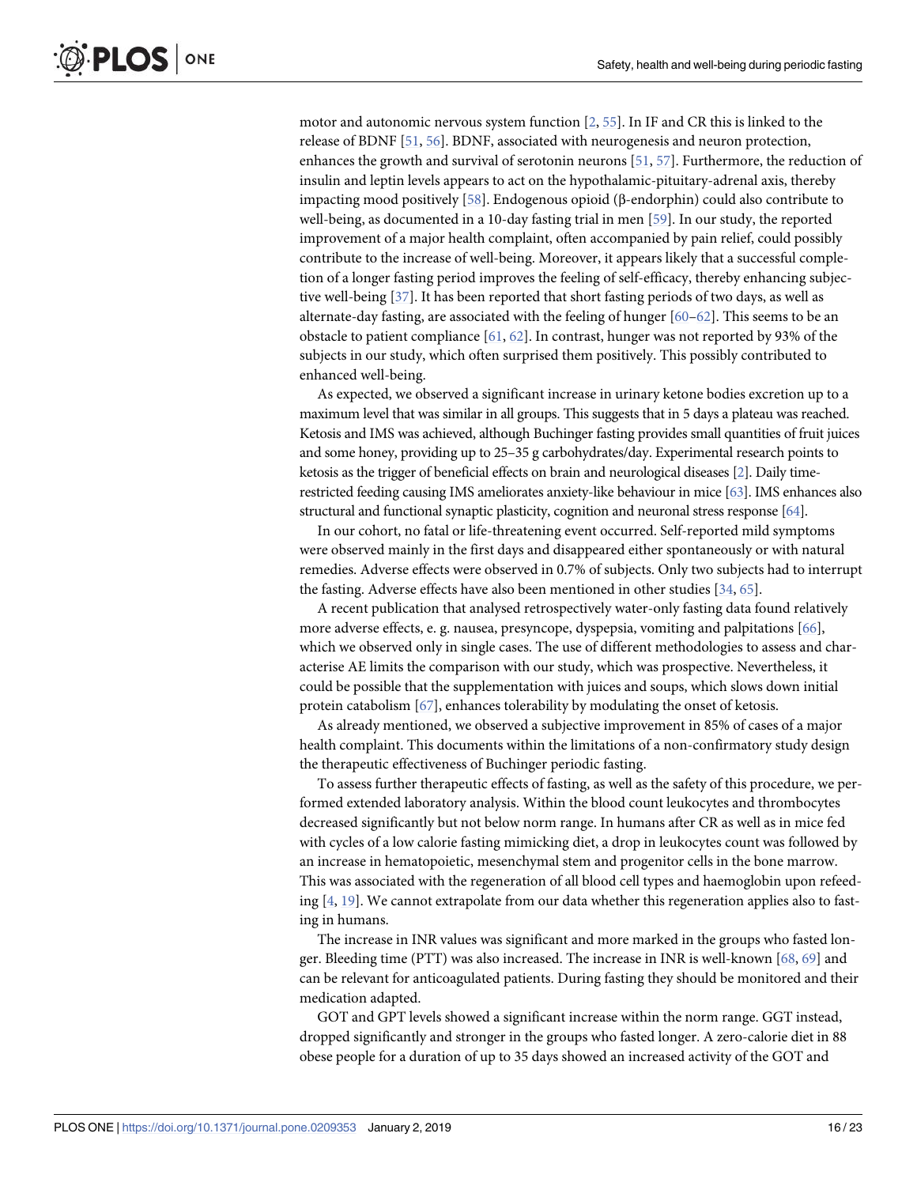<span id="page-15-0"></span>motor and autonomic nervous system function  $[2, 55]$  $[2, 55]$  $[2, 55]$ . In IF and CR this is linked to the release of BDNF [[51](#page-21-0), [56](#page-21-0)]. BDNF, associated with neurogenesis and neuron protection, enhances the growth and survival of serotonin neurons [\[51,](#page-21-0) [57\]](#page-21-0). Furthermore, the reduction of insulin and leptin levels appears to act on the hypothalamic-pituitary-adrenal axis, thereby impacting mood positively [\[58\]](#page-21-0). Endogenous opioid (β-endorphin) could also contribute to well-being, as documented in a 10-day fasting trial in men [\[59\]](#page-21-0). In our study, the reported improvement of a major health complaint, often accompanied by pain relief, could possibly contribute to the increase of well-being. Moreover, it appears likely that a successful completion of a longer fasting period improves the feeling of self-efficacy, thereby enhancing subjective well-being [[37](#page-20-0)]. It has been reported that short fasting periods of two days, as well as alternate-day fasting, are associated with the feeling of hunger  $[60-62]$ . This seems to be an obstacle to patient compliance [\[61,](#page-21-0) [62\]](#page-21-0). In contrast, hunger was not reported by 93% of the subjects in our study, which often surprised them positively. This possibly contributed to enhanced well-being.

As expected, we observed a significant increase in urinary ketone bodies excretion up to a maximum level that was similar in all groups. This suggests that in 5 days a plateau was reached. Ketosis and IMS was achieved, although Buchinger fasting provides small quantities of fruit juices and some honey, providing up to 25–35 g carbohydrates/day. Experimental research points to ketosis as the trigger of beneficial effects on brain and neurological diseases [\[2](#page-19-0)]. Daily timerestricted feeding causing IMS ameliorates anxiety-like behaviour in mice [\[63\]](#page-21-0). IMS enhances also structural and functional synaptic plasticity, cognition and neuronal stress response [\[64](#page-22-0)].

In our cohort, no fatal or life-threatening event occurred. Self-reported mild symptoms were observed mainly in the first days and disappeared either spontaneously or with natural remedies. Adverse effects were observed in 0.7% of subjects. Only two subjects had to interrupt the fasting. Adverse effects have also been mentioned in other studies [\[34,](#page-20-0) [65\]](#page-22-0).

A recent publication that analysed retrospectively water-only fasting data found relatively more adverse effects, e. g. nausea, presyncope, dyspepsia, vomiting and palpitations [[66](#page-22-0)], which we observed only in single cases. The use of different methodologies to assess and characterise AE limits the comparison with our study, which was prospective. Nevertheless, it could be possible that the supplementation with juices and soups, which slows down initial protein catabolism [\[67\]](#page-22-0), enhances tolerability by modulating the onset of ketosis.

As already mentioned, we observed a subjective improvement in 85% of cases of a major health complaint. This documents within the limitations of a non-confirmatory study design the therapeutic effectiveness of Buchinger periodic fasting.

To assess further therapeutic effects of fasting, as well as the safety of this procedure, we performed extended laboratory analysis. Within the blood count leukocytes and thrombocytes decreased significantly but not below norm range. In humans after CR as well as in mice fed with cycles of a low calorie fasting mimicking diet, a drop in leukocytes count was followed by an increase in hematopoietic, mesenchymal stem and progenitor cells in the bone marrow. This was associated with the regeneration of all blood cell types and haemoglobin upon refeeding [\[4](#page-19-0), [19](#page-19-0)]. We cannot extrapolate from our data whether this regeneration applies also to fasting in humans.

The increase in INR values was significant and more marked in the groups who fasted longer. Bleeding time (PTT) was also increased. The increase in INR is well-known [[68](#page-22-0), [69](#page-22-0)] and can be relevant for anticoagulated patients. During fasting they should be monitored and their medication adapted.

GOT and GPT levels showed a significant increase within the norm range. GGT instead, dropped significantly and stronger in the groups who fasted longer. A zero-calorie diet in 88 obese people for a duration of up to 35 days showed an increased activity of the GOT and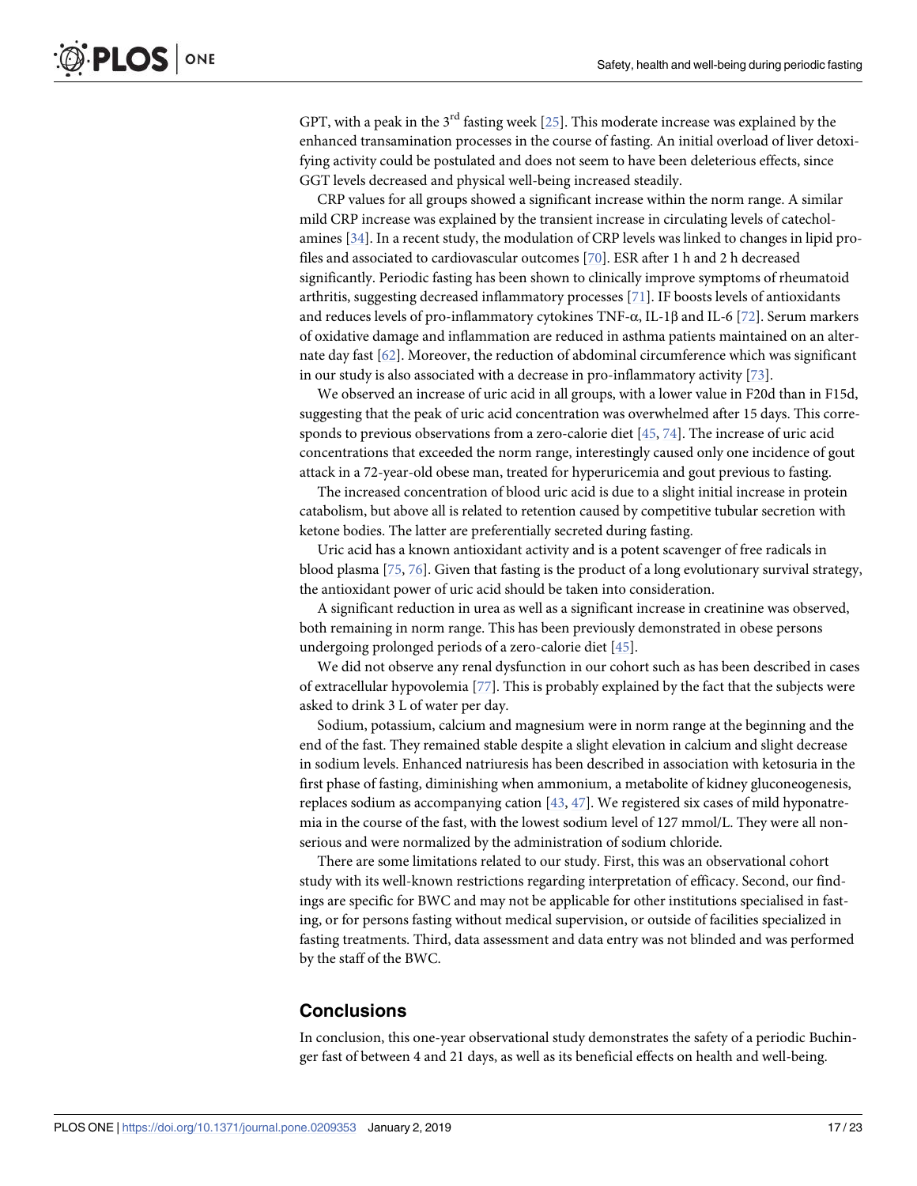<span id="page-16-0"></span>GPT, with a peak in the  $3<sup>rd</sup>$  fasting week [\[25\]](#page-20-0). This moderate increase was explained by the enhanced transamination processes in the course of fasting. An initial overload of liver detoxifying activity could be postulated and does not seem to have been deleterious effects, since GGT levels decreased and physical well-being increased steadily.

CRP values for all groups showed a significant increase within the norm range. A similar mild CRP increase was explained by the transient increase in circulating levels of catecholamines [\[34\]](#page-20-0). In a recent study, the modulation of CRP levels was linked to changes in lipid profiles and associated to cardiovascular outcomes [\[70\]](#page-22-0). ESR after 1 h and 2 h decreased significantly. Periodic fasting has been shown to clinically improve symptoms of rheumatoid arthritis, suggesting decreased inflammatory processes [[71](#page-22-0)]. IF boosts levels of antioxidants and reduces levels of pro-inflammatory cytokines TNF- $\alpha$ , IL-1 $\beta$  and IL-6 [\[72\]](#page-22-0). Serum markers of oxidative damage and inflammation are reduced in asthma patients maintained on an alternate day fast [\[62\]](#page-21-0). Moreover, the reduction of abdominal circumference which was significant in our study is also associated with a decrease in pro-inflammatory activity [\[73\]](#page-22-0).

We observed an increase of uric acid in all groups, with a lower value in F20d than in F15d, suggesting that the peak of uric acid concentration was overwhelmed after 15 days. This corresponds to previous observations from a zero-calorie diet [[45](#page-21-0), [74](#page-22-0)]. The increase of uric acid concentrations that exceeded the norm range, interestingly caused only one incidence of gout attack in a 72-year-old obese man, treated for hyperuricemia and gout previous to fasting.

The increased concentration of blood uric acid is due to a slight initial increase in protein catabolism, but above all is related to retention caused by competitive tubular secretion with ketone bodies. The latter are preferentially secreted during fasting.

Uric acid has a known antioxidant activity and is a potent scavenger of free radicals in blood plasma [[75](#page-22-0), [76](#page-22-0)]. Given that fasting is the product of a long evolutionary survival strategy, the antioxidant power of uric acid should be taken into consideration.

A significant reduction in urea as well as a significant increase in creatinine was observed, both remaining in norm range. This has been previously demonstrated in obese persons undergoing prolonged periods of a zero-calorie diet [\[45\]](#page-21-0).

We did not observe any renal dysfunction in our cohort such as has been described in cases of extracellular hypovolemia [[77](#page-22-0)]. This is probably explained by the fact that the subjects were asked to drink 3 L of water per day.

Sodium, potassium, calcium and magnesium were in norm range at the beginning and the end of the fast. They remained stable despite a slight elevation in calcium and slight decrease in sodium levels. Enhanced natriuresis has been described in association with ketosuria in the first phase of fasting, diminishing when ammonium, a metabolite of kidney gluconeogenesis, replaces sodium as accompanying cation  $[43, 47]$  $[43, 47]$  $[43, 47]$  $[43, 47]$  $[43, 47]$ . We registered six cases of mild hyponatremia in the course of the fast, with the lowest sodium level of 127 mmol/L. They were all nonserious and were normalized by the administration of sodium chloride.

There are some limitations related to our study. First, this was an observational cohort study with its well-known restrictions regarding interpretation of efficacy. Second, our findings are specific for BWC and may not be applicable for other institutions specialised in fasting, or for persons fasting without medical supervision, or outside of facilities specialized in fasting treatments. Third, data assessment and data entry was not blinded and was performed by the staff of the BWC.

#### **Conclusions**

In conclusion, this one-year observational study demonstrates the safety of a periodic Buchinger fast of between 4 and 21 days, as well as its beneficial effects on health and well-being.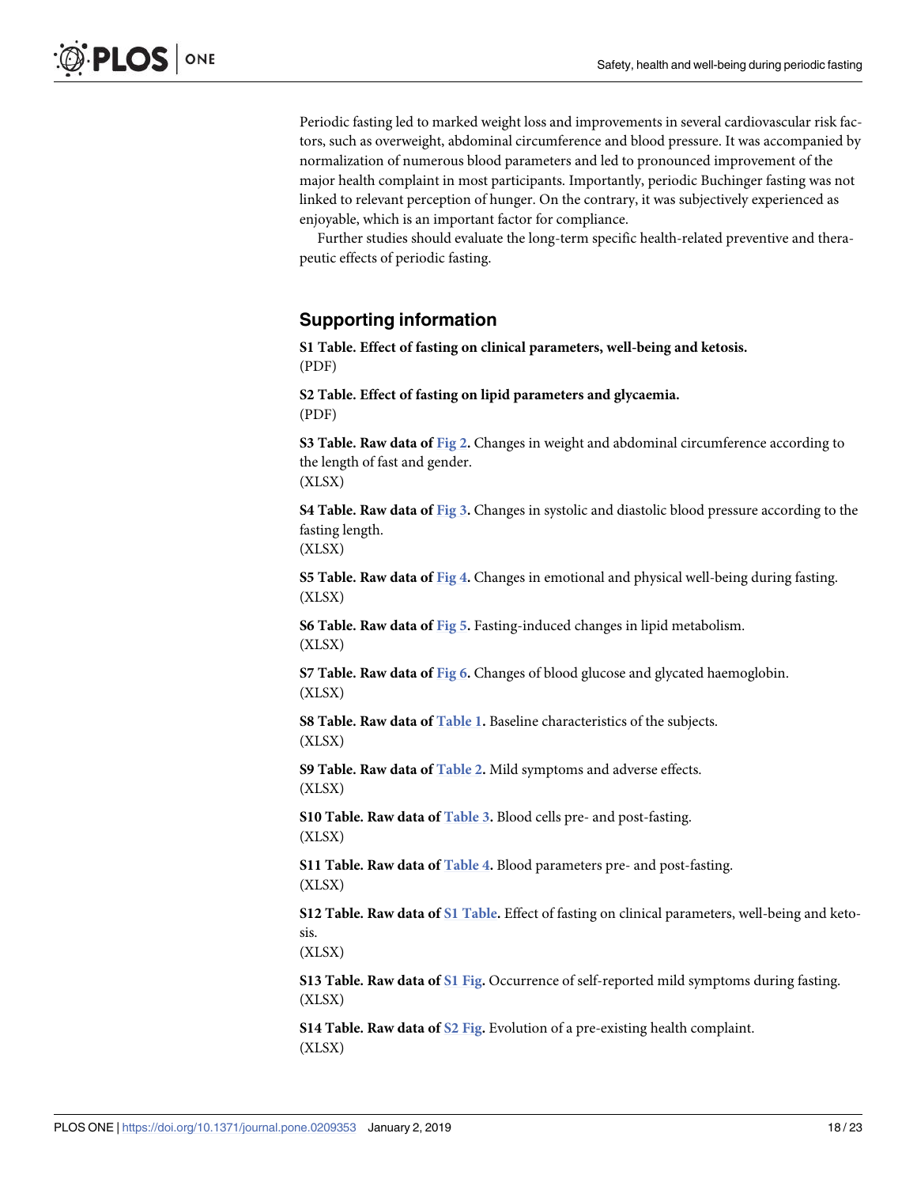<span id="page-17-0"></span>Periodic fasting led to marked weight loss and improvements in several cardiovascular risk factors, such as overweight, abdominal circumference and blood pressure. It was accompanied by normalization of numerous blood parameters and led to pronounced improvement of the major health complaint in most participants. Importantly, periodic Buchinger fasting was not linked to relevant perception of hunger. On the contrary, it was subjectively experienced as enjoyable, which is an important factor for compliance.

Further studies should evaluate the long-term specific health-related preventive and therapeutic effects of periodic fasting.

# **Supporting information**

**S1 [Table.](http://www.plosone.org/article/fetchSingleRepresentation.action?uri=info:doi/10.1371/journal.pone.0209353.s001) Effect of fasting on clinical parameters, well-being and ketosis.** (PDF)

**S2 [Table.](http://www.plosone.org/article/fetchSingleRepresentation.action?uri=info:doi/10.1371/journal.pone.0209353.s002) Effect of fasting on lipid parameters and glycaemia.** (PDF)

**S3 [Table.](http://www.plosone.org/article/fetchSingleRepresentation.action?uri=info:doi/10.1371/journal.pone.0209353.s003) Raw data of [Fig](#page-7-0) 2.** Changes in weight and abdominal circumference according to the length of fast and gender. (XLSX)

**S4 [Table.](http://www.plosone.org/article/fetchSingleRepresentation.action?uri=info:doi/10.1371/journal.pone.0209353.s004) Raw data of [Fig](#page-8-0) 3.** Changes in systolic and diastolic blood pressure according to the fasting length.

(XLSX)

**S5 [Table.](http://www.plosone.org/article/fetchSingleRepresentation.action?uri=info:doi/10.1371/journal.pone.0209353.s005) Raw data of [Fig](#page-9-0) 4.** Changes in emotional and physical well-being during fasting. (XLSX)

**S6 [Table.](http://www.plosone.org/article/fetchSingleRepresentation.action?uri=info:doi/10.1371/journal.pone.0209353.s006) Raw data of [Fig](#page-11-0) 5.** Fasting-induced changes in lipid metabolism. (XLSX)

**S7 [Table.](http://www.plosone.org/article/fetchSingleRepresentation.action?uri=info:doi/10.1371/journal.pone.0209353.s007) Raw data of [Fig](#page-12-0) 6.** Changes of blood glucose and glycated haemoglobin. (XLSX)

**S8 [Table.](http://www.plosone.org/article/fetchSingleRepresentation.action?uri=info:doi/10.1371/journal.pone.0209353.s008) Raw data of [Table](#page-6-0) 1.** Baseline characteristics of the subjects. (XLSX)

**S9 [Table.](http://www.plosone.org/article/fetchSingleRepresentation.action?uri=info:doi/10.1371/journal.pone.0209353.s009) Raw data of [Table](#page-10-0) 2.** Mild symptoms and adverse effects. (XLSX)

**S10 [Table.](http://www.plosone.org/article/fetchSingleRepresentation.action?uri=info:doi/10.1371/journal.pone.0209353.s010) Raw data of [Table](#page-12-0) 3.** Blood cells pre- and post-fasting. (XLSX)

**S11 [Table.](http://www.plosone.org/article/fetchSingleRepresentation.action?uri=info:doi/10.1371/journal.pone.0209353.s011) Raw data of [Table](#page-13-0) 4.** Blood parameters pre- and post-fasting. (XLSX)

**S12 [Table.](http://www.plosone.org/article/fetchSingleRepresentation.action?uri=info:doi/10.1371/journal.pone.0209353.s012) Raw data of S1 Table.** Effect of fasting on clinical parameters, well-being and ketosis.

(XLSX)

**S13 [Table.](http://www.plosone.org/article/fetchSingleRepresentation.action?uri=info:doi/10.1371/journal.pone.0209353.s013) Raw data of S1 [Fig.](#page-18-0)** Occurrence of self-reported mild symptoms during fasting. (XLSX)

**S14 [Table.](http://www.plosone.org/article/fetchSingleRepresentation.action?uri=info:doi/10.1371/journal.pone.0209353.s014) Raw data of S2 [Fig.](#page-18-0)** Evolution of a pre-existing health complaint. (XLSX)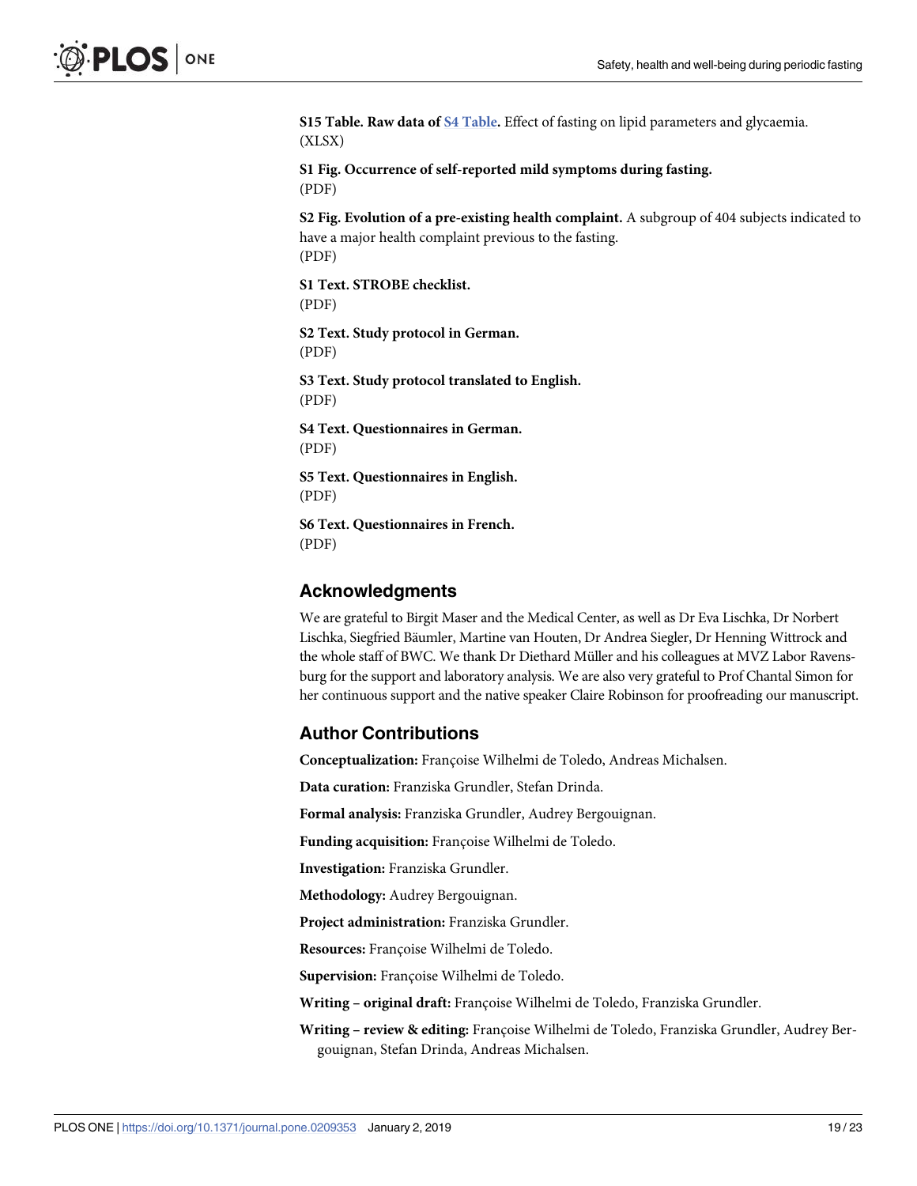<span id="page-18-0"></span>**S15 [Table.](http://www.plosone.org/article/fetchSingleRepresentation.action?uri=info:doi/10.1371/journal.pone.0209353.s015) Raw data of S4 [Table](#page-17-0).** Effect of fasting on lipid parameters and glycaemia. (XLSX)

**S1 [Fig](http://www.plosone.org/article/fetchSingleRepresentation.action?uri=info:doi/10.1371/journal.pone.0209353.s016). Occurrence of self-reported mild symptoms during fasting.** (PDF)

**S2 [Fig](http://www.plosone.org/article/fetchSingleRepresentation.action?uri=info:doi/10.1371/journal.pone.0209353.s017). Evolution of a pre-existing health complaint.** A subgroup of 404 subjects indicated to have a major health complaint previous to the fasting. (PDF)

**S1 [Text](http://www.plosone.org/article/fetchSingleRepresentation.action?uri=info:doi/10.1371/journal.pone.0209353.s018). STROBE checklist.** (PDF)

**S2 [Text](http://www.plosone.org/article/fetchSingleRepresentation.action?uri=info:doi/10.1371/journal.pone.0209353.s019). Study protocol in German.** (PDF)

**S3 [Text](http://www.plosone.org/article/fetchSingleRepresentation.action?uri=info:doi/10.1371/journal.pone.0209353.s020). Study protocol translated to English.** (PDF)

**S4 [Text](http://www.plosone.org/article/fetchSingleRepresentation.action?uri=info:doi/10.1371/journal.pone.0209353.s021). Questionnaires in German.** (PDF)

**S5 [Text](http://www.plosone.org/article/fetchSingleRepresentation.action?uri=info:doi/10.1371/journal.pone.0209353.s022). Questionnaires in English.** (PDF)

**S6 [Text](http://www.plosone.org/article/fetchSingleRepresentation.action?uri=info:doi/10.1371/journal.pone.0209353.s023). Questionnaires in French.** (PDF)

## **Acknowledgments**

We are grateful to Birgit Maser and the Medical Center, as well as Dr Eva Lischka, Dr Norbert Lischka, Siegfried Bäumler, Martine van Houten, Dr Andrea Siegler, Dr Henning Wittrock and the whole staff of BWC. We thank Dr Diethard Müller and his colleagues at MVZ Labor Ravensburg for the support and laboratory analysis. We are also very grateful to Prof Chantal Simon for her continuous support and the native speaker Claire Robinson for proofreading our manuscript.

#### **Author Contributions**

**Conceptualization:** Françoise Wilhelmi de Toledo, Andreas Michalsen.

**Data curation:** Franziska Grundler, Stefan Drinda.

**Formal analysis:** Franziska Grundler, Audrey Bergouignan.

Funding *acquisition*: Françoise Wilhelmi de Toledo.

**Investigation:** Franziska Grundler.

**Methodology:** Audrey Bergouignan.

**Project administration:** Franziska Grundler.

Resources: Françoise Wilhelmi de Toledo.

Supervision: Françoise Wilhelmi de Toledo.

**Writing – original draft:** Franc¸oise Wilhelmi de Toledo, Franziska Grundler.

Writing - review & editing: Françoise Wilhelmi de Toledo, Franziska Grundler, Audrey Bergouignan, Stefan Drinda, Andreas Michalsen.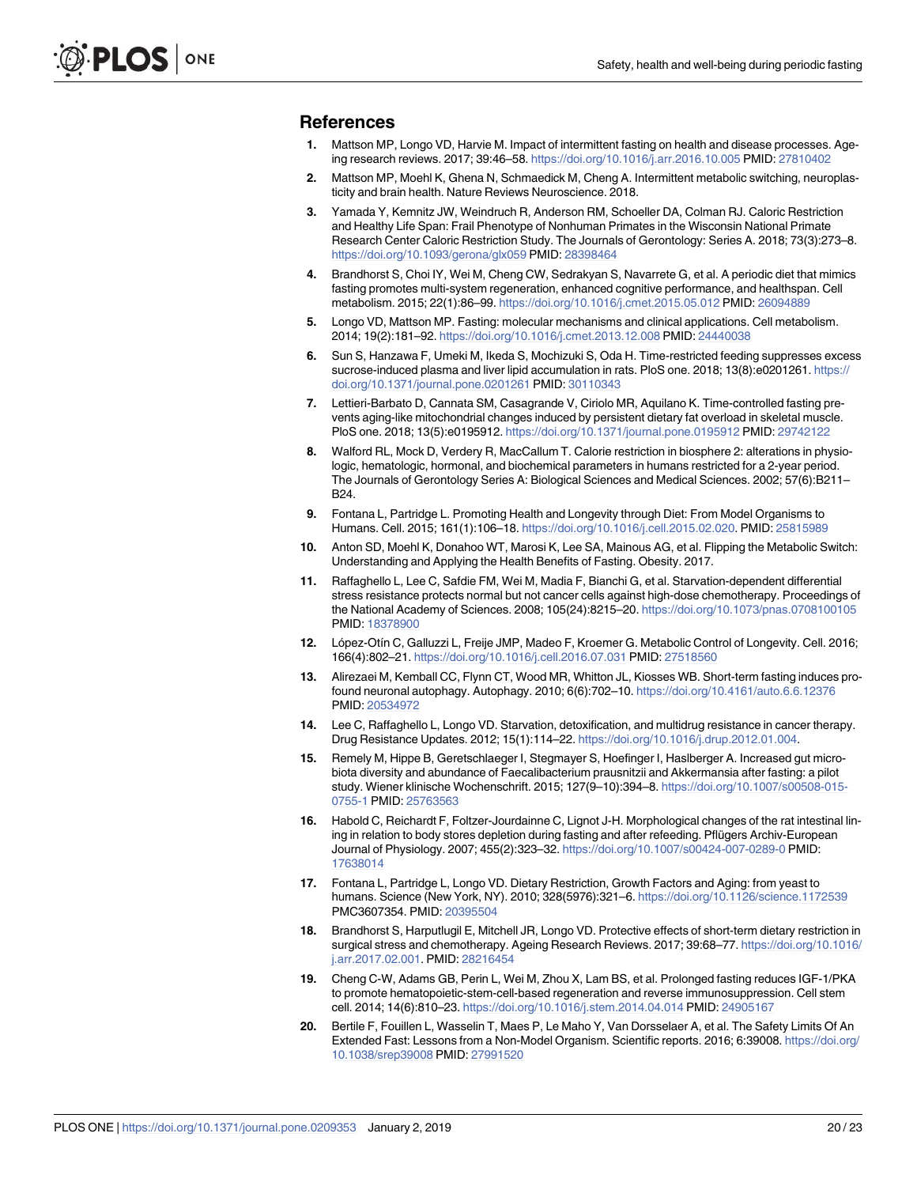#### <span id="page-19-0"></span>**References**

- **[1](#page-1-0).** Mattson MP, Longo VD, Harvie M. Impact of intermittent fasting on health and disease processes. Ageing research reviews. 2017; 39:46–58. <https://doi.org/10.1016/j.arr.2016.10.005> PMID: [27810402](http://www.ncbi.nlm.nih.gov/pubmed/27810402)
- **[2](#page-1-0).** Mattson MP, Moehl K, Ghena N, Schmaedick M, Cheng A. Intermittent metabolic switching, neuroplasticity and brain health. Nature Reviews Neuroscience. 2018.
- **3.** Yamada Y, Kemnitz JW, Weindruch R, Anderson RM, Schoeller DA, Colman RJ. Caloric Restriction and Healthy Life Span: Frail Phenotype of Nonhuman Primates in the Wisconsin National Primate Research Center Caloric Restriction Study. The Journals of Gerontology: Series A. 2018; 73(3):273–8. <https://doi.org/10.1093/gerona/glx059> PMID: [28398464](http://www.ncbi.nlm.nih.gov/pubmed/28398464)
- **[4](#page-1-0).** Brandhorst S, Choi IY, Wei M, Cheng CW, Sedrakyan S, Navarrete G, et al. A periodic diet that mimics fasting promotes multi-system regeneration, enhanced cognitive performance, and healthspan. Cell metabolism. 2015; 22(1):86–99. <https://doi.org/10.1016/j.cmet.2015.05.012> PMID: [26094889](http://www.ncbi.nlm.nih.gov/pubmed/26094889)
- **[5](#page-1-0).** Longo VD, Mattson MP. Fasting: molecular mechanisms and clinical applications. Cell metabolism. 2014; 19(2):181–92. <https://doi.org/10.1016/j.cmet.2013.12.008> PMID: [24440038](http://www.ncbi.nlm.nih.gov/pubmed/24440038)
- **6.** Sun S, Hanzawa F, Umeki M, Ikeda S, Mochizuki S, Oda H. Time-restricted feeding suppresses excess sucrose-induced plasma and liver lipid accumulation in rats. PloS one. 2018; 13(8):e0201261. [https://](https://doi.org/10.1371/journal.pone.0201261) [doi.org/10.1371/journal.pone.0201261](https://doi.org/10.1371/journal.pone.0201261) PMID: [30110343](http://www.ncbi.nlm.nih.gov/pubmed/30110343)
- **[7](#page-1-0).** Lettieri-Barbato D, Cannata SM, Casagrande V, Ciriolo MR, Aquilano K. Time-controlled fasting prevents aging-like mitochondrial changes induced by persistent dietary fat overload in skeletal muscle. PloS one. 2018; 13(5):e0195912. <https://doi.org/10.1371/journal.pone.0195912> PMID: [29742122](http://www.ncbi.nlm.nih.gov/pubmed/29742122)
- **[8](#page-1-0).** Walford RL, Mock D, Verdery R, MacCallum T. Calorie restriction in biosphere 2: alterations in physiologic, hematologic, hormonal, and biochemical parameters in humans restricted for a 2-year period. The Journals of Gerontology Series A: Biological Sciences and Medical Sciences. 2002; 57(6):B211– B24.
- **[9](#page-1-0).** Fontana L, Partridge L. Promoting Health and Longevity through Diet: From Model Organisms to Humans. Cell. 2015; 161(1):106–18. [https://doi.org/10.1016/j.cell.2015.02.020.](https://doi.org/10.1016/j.cell.2015.02.020) PMID: [25815989](http://www.ncbi.nlm.nih.gov/pubmed/25815989)
- **[10](#page-1-0).** Anton SD, Moehl K, Donahoo WT, Marosi K, Lee SA, Mainous AG, et al. Flipping the Metabolic Switch: Understanding and Applying the Health Benefits of Fasting. Obesity. 2017.
- **[11](#page-1-0).** Raffaghello L, Lee C, Safdie FM, Wei M, Madia F, Bianchi G, et al. Starvation-dependent differential stress resistance protects normal but not cancer cells against high-dose chemotherapy. Proceedings of the National Academy of Sciences. 2008; 105(24):8215–20. <https://doi.org/10.1073/pnas.0708100105> PMID: [18378900](http://www.ncbi.nlm.nih.gov/pubmed/18378900)
- **[12](#page-1-0).** Lo´pez-Otı´n C, Galluzzi L, Freije JMP, Madeo F, Kroemer G. Metabolic Control of Longevity. Cell. 2016; 166(4):802–21. <https://doi.org/10.1016/j.cell.2016.07.031> PMID: [27518560](http://www.ncbi.nlm.nih.gov/pubmed/27518560)
- **[13](#page-1-0).** Alirezaei M, Kemball CC, Flynn CT, Wood MR, Whitton JL, Kiosses WB. Short-term fasting induces profound neuronal autophagy. Autophagy. 2010; 6(6):702–10. <https://doi.org/10.4161/auto.6.6.12376> PMID: [20534972](http://www.ncbi.nlm.nih.gov/pubmed/20534972)
- **[14](#page-1-0).** Lee C, Raffaghello L, Longo VD. Starvation, detoxification, and multidrug resistance in cancer therapy. Drug Resistance Updates. 2012; 15(1):114–22. <https://doi.org/10.1016/j.drup.2012.01.004>.
- **[15](#page-1-0).** Remely M, Hippe B, Geretschlaeger I, Stegmayer S, Hoefinger I, Haslberger A. Increased gut microbiota diversity and abundance of Faecalibacterium prausnitzii and Akkermansia after fasting: a pilot study. Wiener klinische Wochenschrift. 2015; 127(9–10):394–8. [https://doi.org/10.1007/s00508-015-](https://doi.org/10.1007/s00508-015-0755-1) [0755-1](https://doi.org/10.1007/s00508-015-0755-1) PMID: [25763563](http://www.ncbi.nlm.nih.gov/pubmed/25763563)
- **[16](#page-1-0).** Habold C, Reichardt F, Foltzer-Jourdainne C, Lignot J-H. Morphological changes of the rat intestinal lining in relation to body stores depletion during fasting and after refeeding. Pflügers Archiv-European Journal of Physiology. 2007; 455(2):323–32. <https://doi.org/10.1007/s00424-007-0289-0> PMID: [17638014](http://www.ncbi.nlm.nih.gov/pubmed/17638014)
- **[17](#page-1-0).** Fontana L, Partridge L, Longo VD. Dietary Restriction, Growth Factors and Aging: from yeast to humans. Science (New York, NY). 2010; 328(5976):321–6. <https://doi.org/10.1126/science.1172539> PMC3607354. PMID: [20395504](http://www.ncbi.nlm.nih.gov/pubmed/20395504)
- **[18](#page-1-0).** Brandhorst S, Harputlugil E, Mitchell JR, Longo VD. Protective effects of short-term dietary restriction in surgical stress and chemotherapy. Ageing Research Reviews. 2017; 39:68–77. [https://doi.org/10.1016/](https://doi.org/10.1016/j.arr.2017.02.001) [j.arr.2017.02.001.](https://doi.org/10.1016/j.arr.2017.02.001) PMID: [28216454](http://www.ncbi.nlm.nih.gov/pubmed/28216454)
- **[19](#page-1-0).** Cheng C-W, Adams GB, Perin L, Wei M, Zhou X, Lam BS, et al. Prolonged fasting reduces IGF-1/PKA to promote hematopoietic-stem-cell-based regeneration and reverse immunosuppression. Cell stem cell. 2014; 14(6):810–23. <https://doi.org/10.1016/j.stem.2014.04.014> PMID: [24905167](http://www.ncbi.nlm.nih.gov/pubmed/24905167)
- **[20](#page-1-0).** Bertile F, Fouillen L, Wasselin T, Maes P, Le Maho Y, Van Dorsselaer A, et al. The Safety Limits Of An Extended Fast: Lessons from a Non-Model Organism. Scientific reports. 2016; 6:39008. [https://doi.org/](https://doi.org/10.1038/srep39008) [10.1038/srep39008](https://doi.org/10.1038/srep39008) PMID: [27991520](http://www.ncbi.nlm.nih.gov/pubmed/27991520)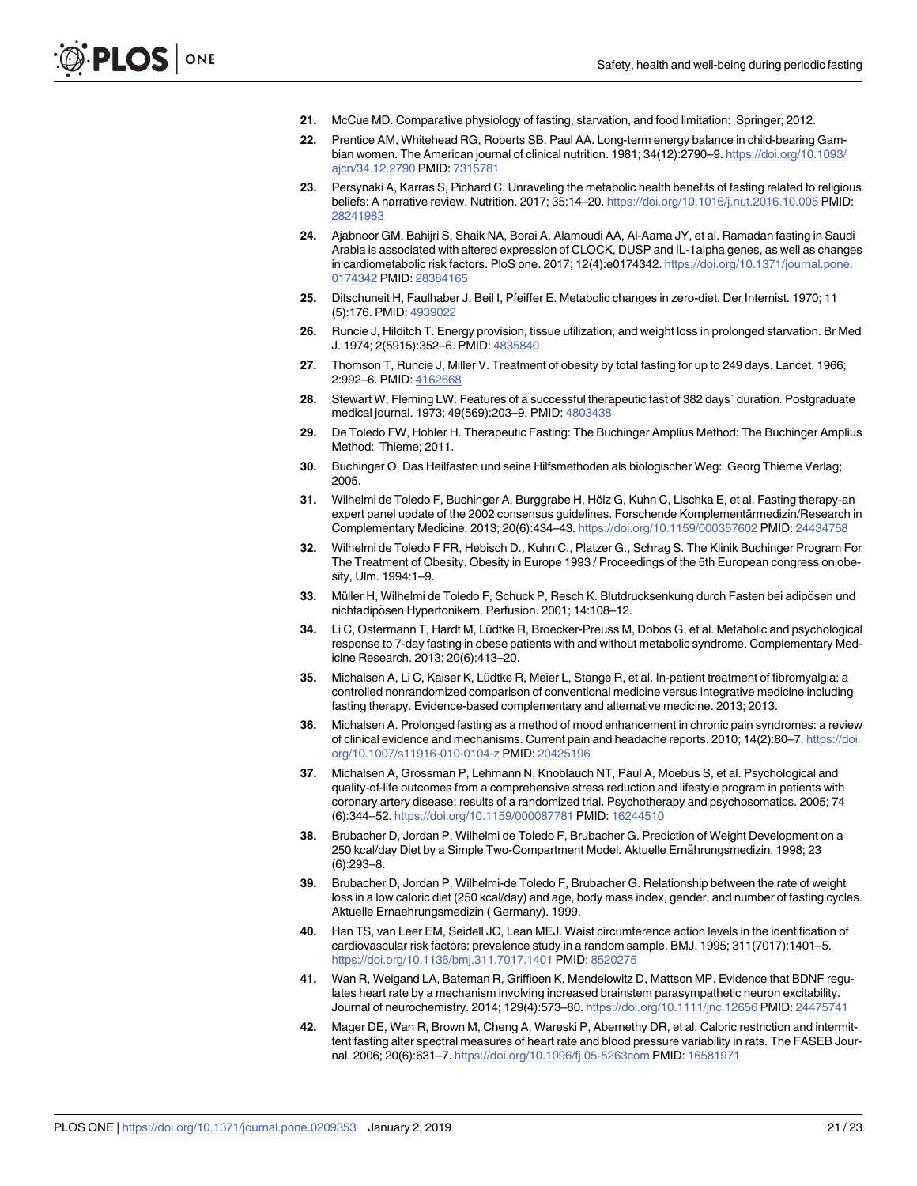- <span id="page-20-0"></span>**[21](#page-1-0).** McCue MD. Comparative physiology of fasting, starvation, and food limitation: Springer; 2012.
- **[22](#page-1-0).** Prentice AM, Whitehead RG, Roberts SB, Paul AA. Long-term energy balance in child-bearing Gambian women. The American journal of clinical nutrition. 1981; 34(12):2790–9. [https://doi.org/10.1093/](https://doi.org/10.1093/ajcn/34.12.2790) [ajcn/34.12.2790](https://doi.org/10.1093/ajcn/34.12.2790) PMID: [7315781](http://www.ncbi.nlm.nih.gov/pubmed/7315781)
- **[23](#page-1-0).** Persynaki A, Karras S, Pichard C. Unraveling the metabolic health benefits of fasting related to religious beliefs: A narrative review. Nutrition. 2017; 35:14–20. <https://doi.org/10.1016/j.nut.2016.10.005> PMID: [28241983](http://www.ncbi.nlm.nih.gov/pubmed/28241983)
- **[24](#page-1-0).** Ajabnoor GM, Bahijri S, Shaik NA, Borai A, Alamoudi AA, Al-Aama JY, et al. Ramadan fasting in Saudi Arabia is associated with altered expression of CLOCK, DUSP and IL-1alpha genes, as well as changes in cardiometabolic risk factors. PloS one. 2017; 12(4):e0174342. [https://doi.org/10.1371/journal.pone.](https://doi.org/10.1371/journal.pone.0174342) [0174342](https://doi.org/10.1371/journal.pone.0174342) PMID: [28384165](http://www.ncbi.nlm.nih.gov/pubmed/28384165)
- **[25](#page-1-0).** Ditschuneit H, Faulhaber J, Beil I, Pfeiffer E. Metabolic changes in zero-diet. Der Internist. 1970; 11 (5):176. PMID: [4939022](http://www.ncbi.nlm.nih.gov/pubmed/4939022)
- **[26](#page-1-0).** Runcie J, Hilditch T. Energy provision, tissue utilization, and weight loss in prolonged starvation. Br Med J. 1974; 2(5915):352–6. PMID: [4835840](http://www.ncbi.nlm.nih.gov/pubmed/4835840)
- **[27](#page-1-0).** Thomson T, Runcie J, Miller V. Treatment of obesity by total fasting for up to 249 days. Lancet. 1966; 2:992–6. PMID: [4162668](http://www.ncbi.nlm.nih.gov/pubmed/4162668)
- **[28](#page-1-0).** Stewart W, Fleming LW. Features of a successful therapeutic fast of 382 days´ duration. Postgraduate medical journal. 1973; 49(569):203–9. PMID: [4803438](http://www.ncbi.nlm.nih.gov/pubmed/4803438)
- **[29](#page-1-0).** De Toledo FW, Hohler H. Therapeutic Fasting: The Buchinger Amplius Method: The Buchinger Amplius Method: Thieme; 2011.
- **30.** Buchinger O. Das Heilfasten und seine Hilfsmethoden als biologischer Weg: Georg Thieme Verlag; 2005.
- **[31](#page-1-0).** Wilhelmi de Toledo F, Buchinger A, Burggrabe H, Hölz G, Kuhn C, Lischka E, et al. Fasting therapy-an expert panel update of the 2002 consensus guidelines. Forschende Komplementärmedizin/Research in Complementary Medicine. 2013; 20(6):434–43. <https://doi.org/10.1159/000357602> PMID: [24434758](http://www.ncbi.nlm.nih.gov/pubmed/24434758)
- **[32](#page-1-0).** Wilhelmi de Toledo F FR, Hebisch D., Kuhn C., Platzer G., Schrag S. The Klinik Buchinger Program For The Treatment of Obesity. Obesity in Europe 1993 / Proceedings of the 5th European congress on obesity, Ulm. 1994:1–9.
- **[33](#page-1-0).** Müller H, Wilhelmi de Toledo F, Schuck P, Resch K. Blutdrucksenkung durch Fasten bei adipösen und nichtadipösen Hypertonikern. Perfusion. 2001; 14:108-12.
- **[34](#page-1-0).** Li C, Ostermann T, Hardt M, Lüdtke R, Broecker-Preuss M, Dobos G, et al. Metabolic and psychological response to 7-day fasting in obese patients with and without metabolic syndrome. Complementary Medicine Research. 2013; 20(6):413–20.
- **[35](#page-1-0).** Michalsen A, Li C, Kaiser K, Lüdtke R, Meier L, Stange R, et al. In-patient treatment of fibromyalgia: a controlled nonrandomized comparison of conventional medicine versus integrative medicine including fasting therapy. Evidence-based complementary and alternative medicine. 2013; 2013.
- **[36](#page-1-0).** Michalsen A. Prolonged fasting as a method of mood enhancement in chronic pain syndromes: a review of clinical evidence and mechanisms. Current pain and headache reports. 2010; 14(2):80–7. [https://doi.](https://doi.org/10.1007/s11916-010-0104-z) [org/10.1007/s11916-010-0104-z](https://doi.org/10.1007/s11916-010-0104-z) PMID: [20425196](http://www.ncbi.nlm.nih.gov/pubmed/20425196)
- **[37](#page-1-0).** Michalsen A, Grossman P, Lehmann N, Knoblauch NT, Paul A, Moebus S, et al. Psychological and quality-of-life outcomes from a comprehensive stress reduction and lifestyle program in patients with coronary artery disease: results of a randomized trial. Psychotherapy and psychosomatics. 2005; 74 (6):344–52. <https://doi.org/10.1159/000087781> PMID: [16244510](http://www.ncbi.nlm.nih.gov/pubmed/16244510)
- **[38](#page-1-0).** Brubacher D, Jordan P, Wilhelmi de Toledo F, Brubacher G. Prediction of Weight Development on a 250 kcal/day Diet by a Simple Two-Compartment Model. Aktuelle Ernährungsmedizin. 1998; 23 (6):293–8.
- **[39](#page-1-0).** Brubacher D, Jordan P, Wilhelmi-de Toledo F, Brubacher G. Relationship between the rate of weight loss in a low caloric diet (250 kcal/day) and age, body mass index, gender, and number of fasting cycles. Aktuelle Ernaehrungsmedizin ( Germany). 1999.
- **[40](#page-14-0).** Han TS, van Leer EM, Seidell JC, Lean MEJ. Waist circumference action levels in the identification of cardiovascular risk factors: prevalence study in a random sample. BMJ. 1995; 311(7017):1401–5. <https://doi.org/10.1136/bmj.311.7017.1401> PMID: [8520275](http://www.ncbi.nlm.nih.gov/pubmed/8520275)
- **[41](#page-14-0).** Wan R, Weigand LA, Bateman R, Griffioen K, Mendelowitz D, Mattson MP. Evidence that BDNF regulates heart rate by a mechanism involving increased brainstem parasympathetic neuron excitability. Journal of neurochemistry. 2014; 129(4):573–80. <https://doi.org/10.1111/jnc.12656> PMID: [24475741](http://www.ncbi.nlm.nih.gov/pubmed/24475741)
- **[42](#page-14-0).** Mager DE, Wan R, Brown M, Cheng A, Wareski P, Abernethy DR, et al. Caloric restriction and intermittent fasting alter spectral measures of heart rate and blood pressure variability in rats. The FASEB Journal. 2006; 20(6):631–7. <https://doi.org/10.1096/fj.05-5263com> PMID: [16581971](http://www.ncbi.nlm.nih.gov/pubmed/16581971)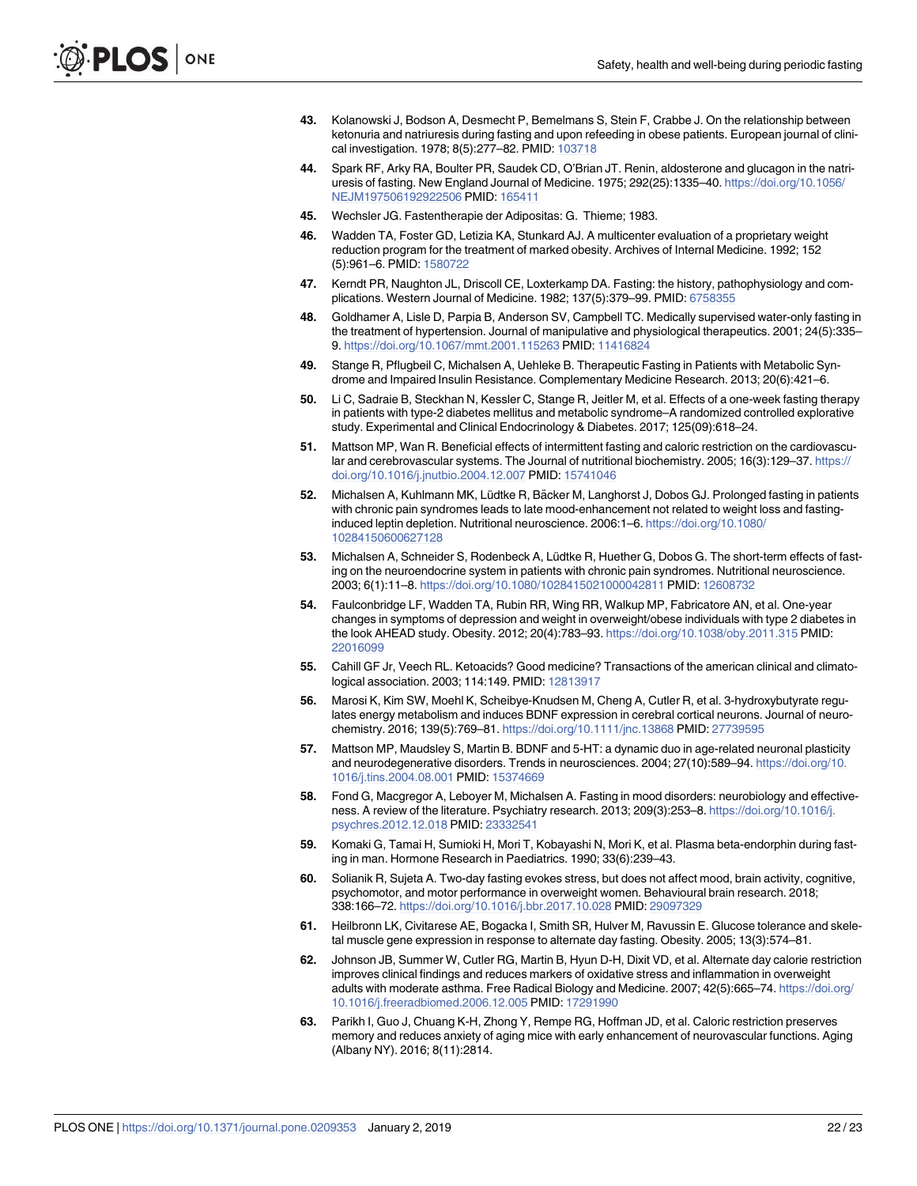- <span id="page-21-0"></span>**[43](#page-14-0).** Kolanowski J, Bodson A, Desmecht P, Bemelmans S, Stein F, Crabbe J. On the relationship between ketonuria and natriuresis during fasting and upon refeeding in obese patients. European journal of clinical investigation. 1978; 8(5):277–82. PMID: [103718](http://www.ncbi.nlm.nih.gov/pubmed/103718)
- **[44](#page-14-0).** Spark RF, Arky RA, Boulter PR, Saudek CD, O'Brian JT. Renin, aldosterone and glucagon in the natriuresis of fasting. New England Journal of Medicine. 1975; 292(25):1335–40. [https://doi.org/10.1056/](https://doi.org/10.1056/NEJM197506192922506) [NEJM197506192922506](https://doi.org/10.1056/NEJM197506192922506) PMID: [165411](http://www.ncbi.nlm.nih.gov/pubmed/165411)
- **[45](#page-14-0).** Wechsler JG. Fastentherapie der Adipositas: G. Thieme; 1983.
- **46.** Wadden TA, Foster GD, Letizia KA, Stunkard AJ. A multicenter evaluation of a proprietary weight reduction program for the treatment of marked obesity. Archives of Internal Medicine. 1992; 152 (5):961–6. PMID: [1580722](http://www.ncbi.nlm.nih.gov/pubmed/1580722)
- **[47](#page-14-0).** Kerndt PR, Naughton JL, Driscoll CE, Loxterkamp DA. Fasting: the history, pathophysiology and complications. Western Journal of Medicine. 1982; 137(5):379–99. PMID: [6758355](http://www.ncbi.nlm.nih.gov/pubmed/6758355)
- **[48](#page-14-0).** Goldhamer A, Lisle D, Parpia B, Anderson SV, Campbell TC. Medically supervised water-only fasting in the treatment of hypertension. Journal of manipulative and physiological therapeutics. 2001; 24(5):335– 9. <https://doi.org/10.1067/mmt.2001.115263> PMID: [11416824](http://www.ncbi.nlm.nih.gov/pubmed/11416824)
- **[49](#page-14-0).** Stange R, Pflugbeil C, Michalsen A, Uehleke B. Therapeutic Fasting in Patients with Metabolic Syndrome and Impaired Insulin Resistance. Complementary Medicine Research. 2013; 20(6):421–6.
- **[50](#page-14-0).** Li C, Sadraie B, Steckhan N, Kessler C, Stange R, Jeitler M, et al. Effects of a one-week fasting therapy in patients with type-2 diabetes mellitus and metabolic syndrome–A randomized controlled explorative study. Experimental and Clinical Endocrinology & Diabetes. 2017; 125(09):618–24.
- **[51](#page-14-0).** Mattson MP, Wan R. Beneficial effects of intermittent fasting and caloric restriction on the cardiovascular and cerebrovascular systems. The Journal of nutritional biochemistry. 2005; 16(3):129-37. [https://](https://doi.org/10.1016/j.jnutbio.2004.12.007) [doi.org/10.1016/j.jnutbio.2004.12.007](https://doi.org/10.1016/j.jnutbio.2004.12.007) PMID: [15741046](http://www.ncbi.nlm.nih.gov/pubmed/15741046)
- **[52](#page-14-0).** Michalsen A, Kuhlmann MK, Lüdtke R, Bäcker M, Langhorst J, Dobos GJ. Prolonged fasting in patients with chronic pain syndromes leads to late mood-enhancement not related to weight loss and fastinginduced leptin depletion. Nutritional neuroscience. 2006:1–6. [https://doi.org/10.1080/](https://doi.org/10.1080/10284150600627128) [10284150600627128](https://doi.org/10.1080/10284150600627128)
- **[53](#page-14-0).** Michalsen A, Schneider S, Rodenbeck A, Lüdtke R, Huether G, Dobos G. The short-term effects of fasting on the neuroendocrine system in patients with chronic pain syndromes. Nutritional neuroscience. 2003; 6(1):11–8. <https://doi.org/10.1080/1028415021000042811> PMID: [12608732](http://www.ncbi.nlm.nih.gov/pubmed/12608732)
- **[54](#page-14-0).** Faulconbridge LF, Wadden TA, Rubin RR, Wing RR, Walkup MP, Fabricatore AN, et al. One-year changes in symptoms of depression and weight in overweight/obese individuals with type 2 diabetes in the look AHEAD study. Obesity. 2012; 20(4):783–93. <https://doi.org/10.1038/oby.2011.315> PMID: [22016099](http://www.ncbi.nlm.nih.gov/pubmed/22016099)
- **[55](#page-15-0).** Cahill GF Jr, Veech RL. Ketoacids? Good medicine? Transactions of the american clinical and climatological association. 2003; 114:149. PMID: [12813917](http://www.ncbi.nlm.nih.gov/pubmed/12813917)
- **[56](#page-15-0).** Marosi K, Kim SW, Moehl K, Scheibye-Knudsen M, Cheng A, Cutler R, et al. 3-hydroxybutyrate regulates energy metabolism and induces BDNF expression in cerebral cortical neurons. Journal of neurochemistry. 2016; 139(5):769–81. <https://doi.org/10.1111/jnc.13868> PMID: [27739595](http://www.ncbi.nlm.nih.gov/pubmed/27739595)
- **[57](#page-15-0).** Mattson MP, Maudsley S, Martin B. BDNF and 5-HT: a dynamic duo in age-related neuronal plasticity and neurodegenerative disorders. Trends in neurosciences. 2004; 27(10):589–94. [https://doi.org/10.](https://doi.org/10.1016/j.tins.2004.08.001) [1016/j.tins.2004.08.001](https://doi.org/10.1016/j.tins.2004.08.001) PMID: [15374669](http://www.ncbi.nlm.nih.gov/pubmed/15374669)
- **[58](#page-15-0).** Fond G, Macgregor A, Leboyer M, Michalsen A. Fasting in mood disorders: neurobiology and effectiveness. A review of the literature. Psychiatry research. 2013; 209(3):253–8. [https://doi.org/10.1016/j.](https://doi.org/10.1016/j.psychres.2012.12.018) [psychres.2012.12.018](https://doi.org/10.1016/j.psychres.2012.12.018) PMID: [23332541](http://www.ncbi.nlm.nih.gov/pubmed/23332541)
- **[59](#page-15-0).** Komaki G, Tamai H, Sumioki H, Mori T, Kobayashi N, Mori K, et al. Plasma beta-endorphin during fasting in man. Hormone Research in Paediatrics. 1990; 33(6):239–43.
- **[60](#page-15-0).** Solianik R, Sujeta A. Two-day fasting evokes stress, but does not affect mood, brain activity, cognitive, psychomotor, and motor performance in overweight women. Behavioural brain research. 2018; 338:166–72. <https://doi.org/10.1016/j.bbr.2017.10.028> PMID: [29097329](http://www.ncbi.nlm.nih.gov/pubmed/29097329)
- **[61](#page-15-0).** Heilbronn LK, Civitarese AE, Bogacka I, Smith SR, Hulver M, Ravussin E. Glucose tolerance and skeletal muscle gene expression in response to alternate day fasting. Obesity. 2005; 13(3):574–81.
- **[62](#page-15-0).** Johnson JB, Summer W, Cutler RG, Martin B, Hyun D-H, Dixit VD, et al. Alternate day calorie restriction improves clinical findings and reduces markers of oxidative stress and inflammation in overweight adults with moderate asthma. Free Radical Biology and Medicine. 2007; 42(5):665–74. [https://doi.org/](https://doi.org/10.1016/j.freeradbiomed.2006.12.005) [10.1016/j.freeradbiomed.2006.12.005](https://doi.org/10.1016/j.freeradbiomed.2006.12.005) PMID: [17291990](http://www.ncbi.nlm.nih.gov/pubmed/17291990)
- **[63](#page-15-0).** Parikh I, Guo J, Chuang K-H, Zhong Y, Rempe RG, Hoffman JD, et al. Caloric restriction preserves memory and reduces anxiety of aging mice with early enhancement of neurovascular functions. Aging (Albany NY). 2016; 8(11):2814.